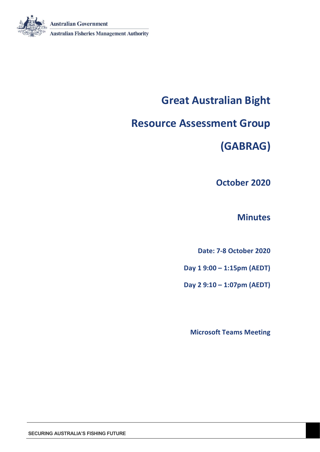

# **Great Australian Bight**

# **Resource Assessment Group**

**(GABRAG)**

**October 2020** 

## **Minutes**

**Date: 7-8 October 2020**

**Day 1 9:00 – 1:15pm (AEDT)**

**Day 2 9:10 – 1:07pm (AEDT)**

**Microsoft Teams Meeting**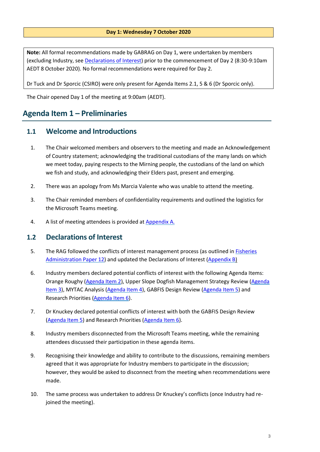#### **Day 1: Wednesday 7 October 2020**

**Note:** All formal recommendations made by GABRAG on Day 1, were undertaken by members (excluding Industry, see Declarations of Interest) prior to the commencement of Day 2 (8:30-9:10am AEDT 8 October 2020). No formal recommendations were required for Day 2.

Dr Tuck and Dr Sporcic (CSIRO) were only present for Agenda Items 2.1, 5 & 6 (Dr Sporcic only).

The Chair opened Day 1 of the meeting at 9:00am (AEDT).

## <span id="page-2-0"></span>**Agenda Item 1 – Preliminaries**

## <span id="page-2-1"></span>**1.1 Welcome and Introductions**

- 1. The Chair welcomed members and observers to the meeting and made an Acknowledgement of Country statement; acknowledging the traditional custodians of the many lands on which we meet today, paying respects to the Mirning people, the custodians of the land on which we fish and study, and acknowledging their Elders past, present and emerging.
- 2. There was an apology from Ms Marcia Valente who was unable to attend the meeting.
- 3. The Chair reminded members of confidentiality requirements and outlined the logistics for the Microsoft Teams meeting.
- 4. A list of meeting attendees is provided at [Appendix A.](#page-29-0)

## <span id="page-2-2"></span>**1.2 Declarations of Interest**

- 5. The RAG followed the conflicts of interest management process (as outlined in [Fisheries](https://www.afma.gov.au/sites/default/files/fap12_to_reflect_legislative_changes_and_economic_advice_-_october_2018.pdf?acsf_files_redirect)  [Administration Paper 12\)](https://www.afma.gov.au/sites/default/files/fap12_to_reflect_legislative_changes_and_economic_advice_-_october_2018.pdf?acsf_files_redirect) and updated the Declarations of Interest [\(Appendix B\)](#page-30-0)
- 6. Industry members declared potential conflicts of interest with the following Agenda Items: Orange Roughy [\(Agenda Item 2\)](#page-4-0), Upper Slope Dogfish Management Strategy Review (Agenda [Item 3\)](#page-12-0), MYTAC Analysis [\(Agenda Item 4\)](#page-17-0), GABFIS Design Review [\(Agenda Item 5\)](#page-18-0) and Research Priorities [\(Agenda Item 6\)](#page-22-0).
- 7. Dr Knuckey declared potential conflicts of interest with both the GABFIS Design Review [\(Agenda Item 5\)](#page-18-0) and Research Priorities [\(Agenda Item 6\)](#page-22-0).
- 8. Industry members disconnected from the Microsoft Teams meeting, while the remaining attendees discussed their participation in these agenda items.
- 9. Recognising their knowledge and ability to contribute to the discussions, remaining members agreed that it was appropriate for Industry members to participate in the discussion; however, they would be asked to disconnect from the meeting when recommendations were made.
- 10. The same process was undertaken to address Dr Knuckey's conflicts (once Industry had rejoined the meeting).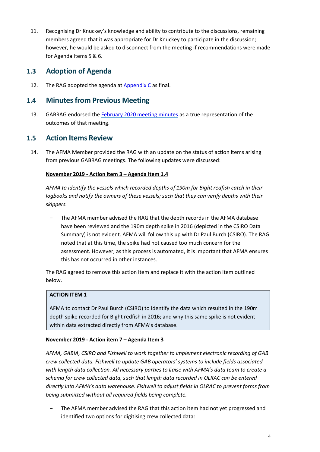11. Recognising Dr Knuckey's knowledge and ability to contribute to the discussions, remaining members agreed that it was appropriate for Dr Knuckey to participate in the discussion; however, he would be asked to disconnect from the meeting if recommendations were made for Agenda Items 5 & 6.

## <span id="page-3-0"></span>**1.3 Adoption of Agenda**

12. The RAG adopted the agenda at [Appendix](#page-34-0) C as final.

## <span id="page-3-1"></span>**1.4 Minutes from Previous Meeting**

13. GABRAG endorsed th[e February 2020 meeting minutes](https://www.afma.gov.au/sites/default/files/gabrag_2_-_feb_2020_-_final_minutes.pdf) as a true representation of the outcomes of that meeting.

## <span id="page-3-2"></span>**1.5 Action Items Review**

14. The AFMA Member provided the RAG with an update on the status of action items arising from previous GABRAG meetings. The following updates were discussed:

## **November 2019 - Action item 3 – Agenda Item 1.4**

*AFMA to identify the vessels which recorded depths of 190m for Bight redfish catch in their*  logbooks and notify the owners of these vessels; such that they can verify depths with their *skippers.*

The AFMA member advised the RAG that the depth records in the AFMA database have been reviewed and the 190m depth spike in 2016 (depicted in the CSIRO Data Summary) is not evident. AFMA will follow this up with Dr Paul Burch (CSIRO). The RAG noted that at this time, the spike had not caused too much concern for the assessment. However, as this process is automated, it is important that AFMA ensures this has not occurred in other instances.

The RAG agreed to remove this action item and replace it with the action item outlined below.

## **ACTION ITEM 1**

AFMA to contact Dr Paul Burch (CSIRO) to identify the data which resulted in the 190m depth spike recorded for Bight redfish in 2016; and why this same spike is not evident within data extracted directly from AFMA's database.

## **November 2019 - Action item 7 – Agenda Item 3**

*AFMA, GABIA, CSIRO and Fishwell to work together to implement electronic recording of GAB crew collected data. Fishwell to update GAB operators' systems to include fields associated with length data collection. All necessary parties to liaise with AFMA's data team to create a schema for crew collected data, such that length data recorded in OLRAC can be entered directly into AFMA's data warehouse. Fishwell to adjust fields in OLRAC to prevent forms from being submitted without all required fields being complete.*

The AFMA member advised the RAG that this action item had not yet progressed and identified two options for digitising crew collected data: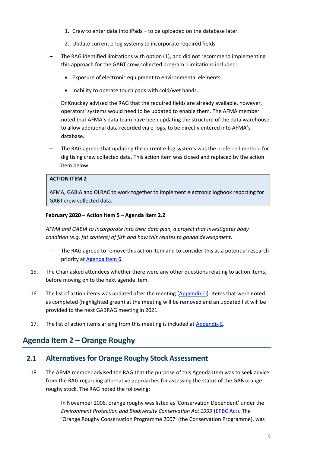- 1. Crew to enter data into iPads to be uploaded on the database later.
- 2. Update current e-log systems to incorporate required fields.
- The RAG identified limitations with option (1), and did not recommend implementing this approach for the GABT crew collected program. Limitations included:
	- Exposure of electronic equipment to environmental elements;
	- Inability to operate touch pads with cold/wet hands.
- Dr Knuckey advised the RAG that the required fields are already available, however, operators' systems would need to be updated to enable them. The AFMA member noted that AFMA's data team have been updating the structure of the data warehouse to allow additional data recorded via e-logs, to be directly entered into AFMA's database.
- The RAG agreed that updating the current e-log systems was the preferred method for digitising crew collected data. This action item was closed and replaced by the action item below.

### **ACTION ITEM 2**

AFMA, GABIA and OLRAC to work together to implement electronic logbook reporting for GABT crew collected data.

#### **February 2020 – Action Item 5 – Agenda Item 2.2**

*AFMA and GABIA to incorporate into their data plan, a project that investigates body condition (e.g. fat content) of fish and how this relates to gonad development.*

- The RAG agreed to remove this action item and to consider this as a potential research priority a[t Agenda Item 6.](#page-22-0)
- 15. The Chair asked attendees whether there were any other questions relating to action items, before moving on to the next agenda item.
- 16. The list of action items was updated after the meeting [\(Appendix D\)](#page-36-0). Items that were noted as completed (highlighted green) at the meeting will be removed and an updated list will be provided to the next GABRAG meeting in 2021.
- 17. The list of action items arising from this meeting is included a[t Appendix E.](#page-45-0)

## <span id="page-4-0"></span>**Agenda Item 2 – Orange Roughy**

## <span id="page-4-1"></span>**2.1 Alternatives for Orange Roughy Stock Assessment**

- <span id="page-4-2"></span>18. The AFMA member advised the RAG that the purpose of this Agenda Item was to seek advice from the RAG regarding alternative approaches for assessing the status of the GAB orange roughy stock. The RAG noted the following:
	- In November 2006, orange roughy was listed as 'Conservation Dependent' under the *Environment Protection and Biodiversity Conservation Act 1999* [\(EPBC Act\)](https://www.legislation.gov.au/Details/C2020C00291). The 'Orange Roughy Conservation Programme 2007' (the Conservation Programme), was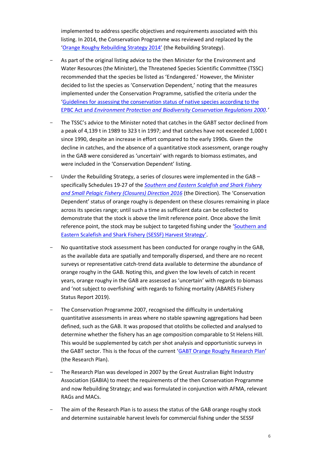implemented to address specific objectives and requirements associated with this listing. In 2014, the Conservation Programme was reviewed and replaced by the '[Orange Roughy Rebuilding Strategy 2014](https://www.afma.gov.au/sites/default/files/uploads/2014/12/SESSF-Orange-roughy-rebuilding-strategy-2015-FINAL.pdf)' (the Rebuilding Strategy).

- As part of the original listing advice to the then Minister for the Environment and Water Resources (the Minister), the Threatened Species Scientific Committee (TSSC) recommended that the species be listed as 'Endangered.' However, the Minister decided to list the species as 'Conservation Dependent,' noting that the measures implemented under the Conservation Programme, satisfied the criteria under the '[Guidelines for assessing the conservation status of native species according to the](https://www.environment.gov.au/system/files/pages/d72dfd1a-f0d8-4699-8d43-5d95bbb02428/files/tssc-guidelines-assessing-species-2020.pdf)  EPBC Act and *[Environment Protection and Biodiversity Conservation Regulations 2000](https://www.environment.gov.au/system/files/pages/d72dfd1a-f0d8-4699-8d43-5d95bbb02428/files/tssc-guidelines-assessing-species-2020.pdf).'*
- The TSSC's advice to the Minister noted that catches in the GABT sector declined from a peak of 4,139 t in 1989 to 323 t in 1997; and that catches have not exceeded 1,000 t since 1990, despite an increase in effort compared to the early 1990s. Given the decline in catches, and the absence of a quantitative stock assessment, orange roughy in the GAB were considered as 'uncertain' with regards to biomass estimates, and were included in the 'Conservation Dependent' listing.
- Under the Rebuilding Strategy, a series of closures were implemented in the GAB specifically Schedules 19-27 of the *[Southern and Eastern Scalefish and Shark Fishery](https://www.legislation.gov.au/Details/F2018C00531)  [and Small Pelagic Fishery \(Closures\) Direction 2016](https://www.legislation.gov.au/Details/F2018C00531)* (the Direction). The 'Conservation Dependent' status of orange roughy is dependent on these closures remaining in place across its species range; until such a time as sufficient data can be collected to demonstrate that the stock is above the limit reference point. Once above the limit reference point, the stock may be subject to targeted fishing under the '[Southern and](https://www.afma.gov.au/sites/default/files/uploads/2017/03/SESSF-Harvest-Strategy-Framework-2017-final.pdf)  [Eastern Scalefish and Shark Fishery \(SESSF\) Harvest Strategy](https://www.afma.gov.au/sites/default/files/uploads/2017/03/SESSF-Harvest-Strategy-Framework-2017-final.pdf)'.
- No quantitative stock assessment has been conducted for orange roughy in the GAB, as the available data are spatially and temporally dispersed, and there are no recent surveys or representative catch-trend data available to determine the abundance of orange roughy in the GAB. Noting this, and given the low levels of catch in recent years, orange roughy in the GAB are assessed as 'uncertain' with regards to biomass and 'not subject to overfishing' with regards to fishing mortality (ABARES Fishery Status Report 2019).
- The Conservation Programme 2007, recognised the difficulty in undertaking quantitative assessments in areas where no stable spawning aggregations had been defined, such as the GAB. It was proposed that otoliths be collected and analysed to determine whether the fishery has an age composition comparable to St Helens Hill. This would be supplemented by catch per shot analysis and opportunistic surveys in the GABT sector. This is the focus of the current '[GABT Orange Roughy Research Plan](https://www.afma.gov.au/sites/default/files/2020-24_gabt_orange_roughy_research_plan_-_final.pdf)' (the Research Plan).
- <span id="page-5-1"></span><span id="page-5-0"></span>The Research Plan was developed in 2007 by the Great Australian Bight Industry Association (GABIA) to meet the requirements of the then Conservation Programme and now Rebuilding Strategy; and was formulated in conjunction with AFMA, relevant RAGs and MACs.
- The aim of the Research Plan is to assess the status of the GAB orange roughy stock and determine sustainable harvest levels for commercial fishing under the SESSF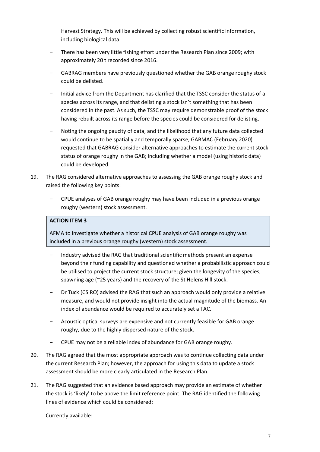Harvest Strategy. This will be achieved by collecting robust scientific information, including biological data.

- There has been very little fishing effort under the Research Plan since 2009; with approximately 20 t recorded since 2016.
- GABRAG members have previously questioned whether the GAB orange roughy stock could be delisted.
- Initial advice from the Department has clarified that the TSSC consider the status of a species across its range, and that delisting a stock isn't something that has been considered in the past. As such, the TSSC may require demonstrable proof of the stock having rebuilt across its range before the species could be considered for delisting.
- Noting the ongoing paucity of data, and the likelihood that any future data collected would continue to be spatially and temporally sparse, GABMAC (February 2020) requested that GABRAG consider alternative approaches to estimate the current stock status of orange roughy in the GAB; including whether a model (using historic data) could be developed.
- 19. The RAG considered alternative approaches to assessing the GAB orange roughy stock and raised the following key points:
	- CPUE analyses of GAB orange roughy may have been included in a previous orange roughy (western) stock assessment.

## **ACTION ITEM 3**

AFMA to investigate whether a historical CPUE analysis of GAB orange roughy was included in a previous orange roughy (western) stock assessment.

- Industry advised the RAG that traditional scientific methods present an expense beyond their funding capability and questioned whether a probabilistic approach could be utilised to project the current stock structure; given the longevity of the species, spawning age (~25 years) and the recovery of the St Helens Hill stock.
- Dr Tuck (CSIRO) advised the RAG that such an approach would only provide a relative measure, and would not provide insight into the actual magnitude of the biomass. An index of abundance would be required to accurately set a TAC.
- Acoustic optical surveys are expensive and not currently feasible for GAB orange roughy, due to the highly dispersed nature of the stock.
- CPUE may not be a reliable index of abundance for GAB orange roughy.
- 20. The RAG agreed that the most appropriate approach was to continue collecting data under the current Research Plan; however, the approach for using this data to update a stock assessment should be more clearly articulated in the Research Plan.
- 21. The RAG suggested that an evidence based approach may provide an estimate of whether the stock is 'likely' to be above the limit reference point. The RAG identified the following lines of evidence which could be considered:

Currently available: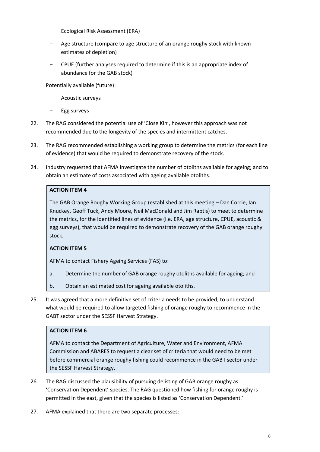- Ecological Risk Assessment (ERA)
- Age structure (compare to age structure of an orange roughy stock with known estimates of depletion)
- CPUE (further analyses required to determine if this is an appropriate index of abundance for the GAB stock)

Potentially available (future):

- Acoustic surveys
- <span id="page-7-0"></span>Egg surveys
- 22. The RAG considered the potential use of 'Close Kin', however this approach was not recommended due to the longevity of the species and intermittent catches.
- 23. The RAG recommended establishing a working group to determine the metrics (for each line of evidence) that would be required to demonstrate recovery of the stock.
- 24. Industry requested that AFMA investigate the number of otoliths available for ageing; and to obtain an estimate of costs associated with ageing available otoliths.

## **ACTION ITEM 4**

The GAB Orange Roughy Working Group (established at this meeting – Dan Corrie, Ian Knuckey, Geoff Tuck, Andy Moore, Neil MacDonald and Jim Raptis) to meet to determine the metrics, for the identified lines of evidence (i.e. ERA, age structure, CPUE, acoustic & egg surveys), that would be required to demonstrate recovery of the GAB orange roughy stock.

## **ACTION ITEM 5**

AFMA to contact Fishery Ageing Services (FAS) to:

- a. Determine the number of GAB orange roughy otoliths available for ageing; and
- b. Obtain an estimated cost for ageing available otoliths.
- 25. It was agreed that a more definitive set of criteria needs to be provided; to understand what would be required to allow targeted fishing of orange roughy to recommence in the GABT sector under the SESSF Harvest Strategy.

#### **ACTION ITEM 6**

AFMA to contact the Department of Agriculture, Water and Environment, AFMA Commission and ABARES to request a clear set of criteria that would need to be met before commercial orange roughy fishing could recommence in the GABT sector under the SESSF Harvest Strategy.

- 26. The RAG discussed the plausibility of pursuing delisting of GAB orange roughy as 'Conservation Dependent' species. The RAG questioned how fishing for orange roughy is permitted in the east, given that the species is listed as 'Conservation Dependent.'
- 27. AFMA explained that there are two separate processes: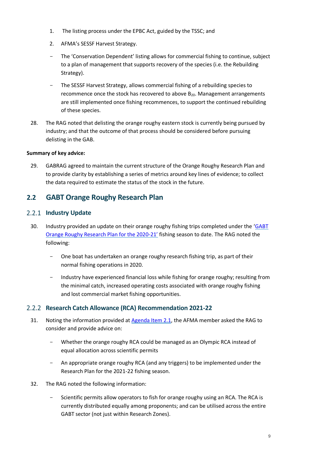- 1. The listing process under the EPBC Act, guided by the TSSC; and
- 2. AFMA's SESSF Harvest Strategy.
- The 'Conservation Dependent' listing allows for commercial fishing to continue, subject to a plan of management that supports recovery of the species (i.e. the Rebuilding Strategy).
- The SESSF Harvest Strategy, allows commercial fishing of a rebuilding species to recommence once the stock has recovered to above  $B_{20}$ . Management arrangements are still implemented once fishing recommences, to support the continued rebuilding of these species.
- 28. The RAG noted that delisting the orange roughy eastern stock is currently being pursued by industry; and that the outcome of that process should be considered before pursuing delisting in the GAB.

## **Summary of key advice:**

29. GABRAG agreed to maintain the current structure of the Orange Roughy Research Plan and to provide clarity by establishing a series of metrics around key lines of evidence; to collect the data required to estimate the status of the stock in the future.

## <span id="page-8-0"></span>**2.2 GABT Orange Roughy Research Plan**

## <span id="page-8-1"></span>2.2.1 **Industry Update**

- 30. Industry provided an update on their orange roughy fishing trips completed under the '[GABT](https://www.afma.gov.au/sites/default/files/2020-24_gabt_orange_roughy_research_plan_-_final.pdf)  [Orange Roughy Research Plan for the 2020-21](https://www.afma.gov.au/sites/default/files/2020-24_gabt_orange_roughy_research_plan_-_final.pdf)' fishing season to date. The RAG noted the following:
	- One boat has undertaken an orange roughy research fishing trip, as part of their normal fishing operations in 2020.
	- Industry have experienced financial loss while fishing for orange roughy; resulting from the minimal catch, increased operating costs associated with orange roughy fishing and lost commercial market fishing opportunities.

## <span id="page-8-2"></span>**Research Catch Allowance (RCA) Recommendation 2021-22**

- 31. Noting the information provided a[t Agenda Item 2.1,](#page-5-0) the AFMA member asked the RAG to consider and provide advice on:
	- Whether the orange roughy RCA could be managed as an Olympic RCA instead of equal allocation across scientific permits
	- An appropriate orange roughy RCA (and any triggers) to be implemented under the Research Plan for the 2021-22 fishing season.
- 32. The RAG noted the following information:
	- Scientific permits allow operators to fish for orange roughy using an RCA. The RCA is currently distributed equally among proponents; and can be utilised across the entire GABT sector (not just within Research Zones).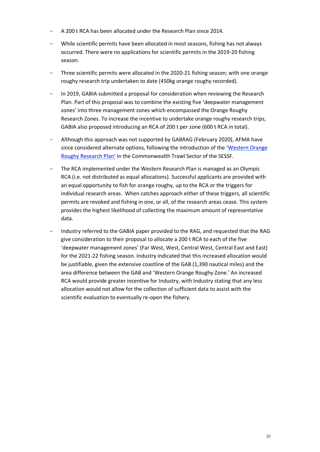- A 200 t RCA has been allocated under the Research Plan since 2014.
- While scientific permits have been allocated in most seasons, fishing has not always occurred. There were no applications for scientific permits in the 2019-20 fishing season.
- Three scientific permits were allocated in the 2020-21 fishing season; with one orange roughy research trip undertaken to date (450kg orange roughy recorded).
- In 2019, GABIA submitted a proposal for consideration when reviewing the Research Plan. Part of this proposal was to combine the existing five 'deepwater management zones' into three management zones which encompassed the Orange Roughy Research Zones. To increase the incentive to undertake orange roughy research trips, GABIA also proposed introducing an RCA of 200 t per zone (600 t RCA in total).
- Although this approach was not supported by GABRAG (February 2020), AFMA have since considered alternate options, following the introduction of the '[Western Orange](https://www.afma.gov.au/sites/default/files/western_orange_roughy_research_plan_final_2020.pdf)  [Roughy Rese](https://www.afma.gov.au/sites/default/files/western_orange_roughy_research_plan_final_2020.pdf)arch Plan' in the Commonwealth Trawl Sector of the SESSF.
- The RCA implemented under the Western Research Plan is managed as an Olympic RCA (i.e. not distributed as equal allocations). Successful applicants are provided with an equal opportunity to fish for orange roughy, up to the RCA or the triggers for individual research areas. When catches approach either of these triggers, all scientific permits are revoked and fishing in one, or all, of the research areas cease. This system provides the highest likelihood of collecting the maximum amount of representative data.
- Industry referred to the GABIA paper provided to the RAG, and requested that the RAG give consideration to their proposal to allocate a 200 t RCA to each of the five 'deepwater management zones' (Far West, West, Central West, Central East and East) for the 2021-22 fishing season. Industry indicated that this increased allocation would be justifiable, given the extensive coastline of the GAB (1,390 nautical miles) and the area difference between the GAB and 'Western Orange Roughy Zone.' An increased RCA would provide greater incentive for Industry, with Industry stating that any less allocation would not allow for the collection of sufficient data to assist with the scientific evaluation to eventually re-open the fishery.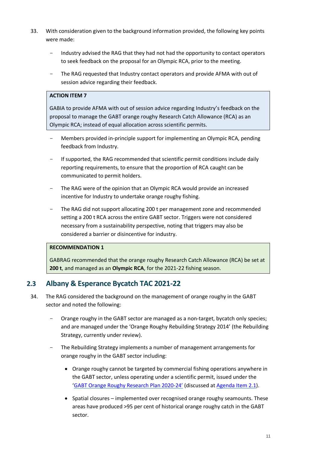- 33. With consideration given to the background information provided, the following key points were made:
	- Industry advised the RAG that they had not had the opportunity to contact operators to seek feedback on the proposal for an Olympic RCA, prior to the meeting.
	- The RAG requested that Industry contact operators and provide AFMA with out of session advice regarding their feedback.

## **ACTION ITEM 7**

GABIA to provide AFMA with out of session advice regarding Industry's feedback on the proposal to manage the GABT orange roughy Research Catch Allowance (RCA) as an Olympic RCA; instead of equal allocation across scientific permits.

- Members provided in-principle support for implementing an Olympic RCA, pending feedback from Industry.
- If supported, the RAG recommended that scientific permit conditions include daily reporting requirements, to ensure that the proportion of RCA caught can be communicated to permit holders.
- The RAG were of the opinion that an Olympic RCA would provide an increased incentive for Industry to undertake orange roughy fishing.
- The RAG did not support allocating 200 t per management zone and recommended setting a 200 t RCA across the entire GABT sector. Triggers were not considered necessary from a sustainability perspective, noting that triggers may also be considered a barrier or disincentive for industry.

#### **RECOMMENDATION 1**

GABRAG recommended that the orange roughy Research Catch Allowance (RCA) be set at **200 t**, and managed as an **Olympic RCA**, for the 2021-22 fishing season.

## <span id="page-10-0"></span>**2.3 Albany & Esperance Bycatch TAC 2021-22**

- 34. The RAG considered the background on the management of orange roughy in the GABT sector and noted the following:
	- Orange roughy in the GABT sector are managed as a non-target, bycatch only species; and are managed under the 'Orange Roughy Rebuilding Strategy 2014' (the Rebuilding Strategy, currently under review).
	- The Rebuilding Strategy implements a number of management arrangements for orange roughy in the GABT sector including:
		- Orange roughy cannot be targeted by commercial fishing operations anywhere in the GABT sector, unless operating under a scientific permit, issued under the '[GABT Orange Roughy Research Plan 2020-](https://www.afma.gov.au/sites/default/files/2020-24_gabt_orange_roughy_research_plan_-_final.pdf)24' (discussed at [Agenda Item 2.1\)](#page-5-1).
		- Spatial closures implemented over recognised orange roughy seamounts. These areas have produced >95 per cent of historical orange roughy catch in the GABT sector.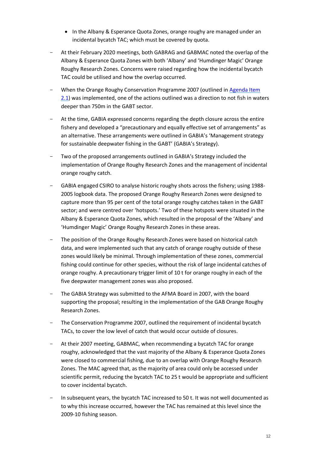- In the Albany & Esperance Quota Zones, orange roughy are managed under an incidental bycatch TAC; which must be covered by quota.
- At their February 2020 meetings, both GABRAG and GABMAC noted the overlap of the Albany & Esperance Quota Zones with both 'Albany' and 'Humdinger Magic' Orange Roughy Research Zones. Concerns were raised regarding how the incidental bycatch TAC could be utilised and how the overlap occurred.
- When the Orange Roughy Conservation Programme 2007 (outlined in [Agenda Item](#page-4-2)  [2.1\)](#page-4-2) was implemented, one of the actions outlined was a direction to not fish in waters deeper than 750m in the GABT sector.
- At the time, GABIA expressed concerns regarding the depth closure across the entire fishery and developed a "precautionary and equally effective set of arrangements" as an alternative. These arrangements were outlined in GABIA's 'Management strategy for sustainable deepwater fishing in the GABT' (GABIA's Strategy).
- <span id="page-11-0"></span>Two of the proposed arrangements outlined in GABIA's Strategy included the implementation of Orange Roughy Research Zones and the management of incidental orange roughy catch.
- GABIA engaged CSIRO to analyse historic roughy shots across the fishery; using 1988- 2005 logbook data. The proposed Orange Roughy Research Zones were designed to capture more than 95 per cent of the total orange roughy catches taken in the GABT sector; and were centred over 'hotspots.' Two of these hotspots were situated in the Albany & Esperance Quota Zones, which resulted in the proposal of the 'Albany' and 'Humdinger Magic' Orange Roughy Research Zones in these areas.
- The position of the Orange Roughy Research Zones were based on historical catch data, and were implemented such that any catch of orange roughy outside of these zones would likely be minimal. Through implementation of these zones, commercial fishing could continue for other species, without the risk of large incidental catches of orange roughy. A precautionary trigger limit of 10 t for orange roughy in each of the five deepwater management zones was also proposed.
- The GABIA Strategy was submitted to the AFMA Board in 2007, with the board supporting the proposal; resulting in the implementation of the GAB Orange Roughy Research Zones.
- The Conservation Programme 2007, outlined the requirement of incidental bycatch TACs, to cover the low level of catch that would occur outside of closures.
- At their 2007 meeting, GABMAC, when recommending a bycatch TAC for orange roughy, acknowledged that the vast majority of the Albany & Esperance Quota Zones were closed to commercial fishing, due to an overlap with Orange Roughy Research Zones. The MAC agreed that, as the majority of area could only be accessed under scientific permit, reducing the bycatch TAC to 25 t would be appropriate and sufficient to cover incidental bycatch.
- In subsequent years, the bycatch TAC increased to 50 t. It was not well documented as to why this increase occurred, however the TAC has remained at this level since the 2009-10 fishing season.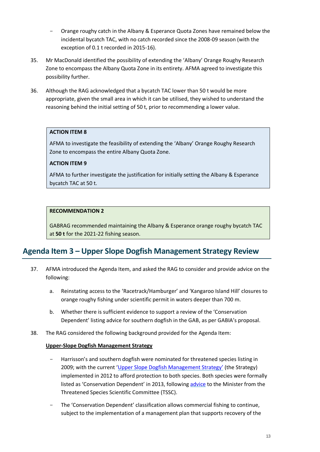- Orange roughy catch in the Albany & Esperance Quota Zones have remained below the incidental bycatch TAC, with no catch recorded since the 2008-09 season (with the exception of 0.1 t recorded in 2015-16).
- 35. Mr MacDonald identified the possibility of extending the 'Albany' Orange Roughy Research Zone to encompass the Albany Quota Zone in its entirety. AFMA agreed to investigate this possibility further.
- 36. Although the RAG acknowledged that a bycatch TAC lower than 50 t would be more appropriate, given the small area in which it can be utilised, they wished to understand the reasoning behind the initial setting of 50 t, prior to recommending a lower value.

### **ACTION ITEM 8**

AFMA to investigate the feasibility of extending the 'Albany' Orange Roughy Research Zone to encompass the entire Albany Quota Zone.

### **ACTION ITEM 9**

AFMA to further investigate the justification for initially setting the Albany & Esperance bycatch TAC at 50 t.

### **RECOMMENDATION 2**

GABRAG recommended maintaining the Albany & Esperance orange roughy bycatch TAC at **50 t** for the 2021-22 fishing season.

## <span id="page-12-0"></span>**Agenda Item 3 – Upper Slope Dogfish Management Strategy Review**

- 37. AFMA introduced the Agenda Item, and asked the RAG to consider and provide advice on the following:
	- a. Reinstating access to the 'Racetrack/Hamburger' and 'Kangaroo Island Hill' closures to orange roughy fishing under scientific permit in waters deeper than 700 m.
	- b. Whether there is sufficient evidence to support a review of the 'Conservation Dependent' listing advice for southern dogfish in the GAB, as per GABIA's proposal.
- 38. The RAG considered the following background provided for the Agenda Item:

### **Upper-Slope Dogfish Management Strategy**

- Harrisson's and southern dogfish were nominated for threatened species listing in 2009; with the current '[Upper Slope Dogfish Management Strategy](https://www.afma.gov.au/sites/default/files/uploads/2012/12/Upper-slope-Dogfish-Management-Strategy-14December-2012-FINAL.pdf)' (the Strategy) implemented in 2012 to afford protection to both species. Both species were formally listed as 'Conservation Dependent' in 2013, following [advice](http://www.environment.gov.au/biodiversity/threatened/species/pubs/82679-listing-advice.pdf) to the Minister from the Threatened Species Scientific Committee (TSSC).
- The 'Conservation Dependent' classification allows commercial fishing to continue, subject to the implementation of a management plan that supports recovery of the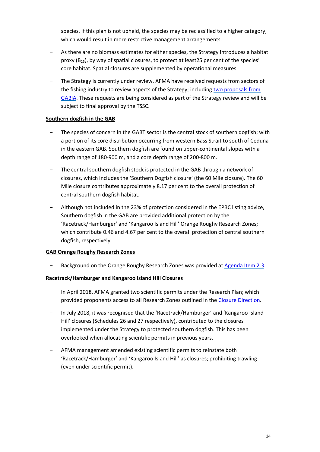species. If this plan is not upheld, the species may be reclassified to a higher category; which would result in more restrictive management arrangements.

- As there are no biomass estimates for either species, the Strategy introduces a habitat proxy  $(B_{25})$ , by way of spatial closures, to protect at least 25 per cent of the species' core habitat. Spatial closures are supplemented by operational measures.
- The Strategy is currently under review. AFMA have received requests from sectors of the fishing industry to review aspects of the Strategy; including [two proposals from](#page-13-0)  [GABIA.](#page-13-0) These requests are being considered as part of the Strategy review and will be subject to final approval by the TSSC.

### **Southern dogfish in the GAB**

- The species of concern in the GABT sector is the central stock of southern dogfish; with a portion of its core distribution occurring from western Bass Strait to south of Ceduna in the eastern GAB. Southern dogfish are found on upper-continental slopes with a depth range of 180-900 m, and a core depth range of 200-800 m.
- The central southern dogfish stock is protected in the GAB through a network of closures, which includes the 'Southern Dogfish closure' (the 60 Mile closure). The 60 Mile closure contributes approximately 8.17 per cent to the overall protection of central southern dogfish habitat.
- Although not included in the 23% of protection considered in the EPBC listing advice, Southern dogfish in the GAB are provided additional protection by the 'Racetrack/Hamburger' and 'Kangaroo Island Hill' Orange Roughy Research Zones; which contribute 0.46 and 4.67 per cent to the overall protection of central southern dogfish, respectively.

## **GAB Orange Roughy Research Zones**

- Background on the Orange Roughy Research Zones was provided at [Agenda Item 2.3.](#page-11-0)

#### **Racetrack/Hamburger and Kangaroo Island Hill Closures**

- In April 2018, AFMA granted two scientific permits under the Research Plan; which provided proponents access to all Research Zones outlined in the Closure [Direction.](https://www.legislation.gov.au/Details/F2018C00531)
- In July 2018, it was recognised that the 'Racetrack/Hamburger' and 'Kangaroo Island Hill' closures (Schedules 26 and 27 respectively), contributed to the closures implemented under the Strategy to protected southern dogfish. This has been overlooked when allocating scientific permits in previous years.
- <span id="page-13-0"></span>- AFMA management amended existing scientific permits to reinstate both 'Racetrack/Hamburger' and 'Kangaroo Island Hill' as closures; prohibiting trawling (even under scientific permit).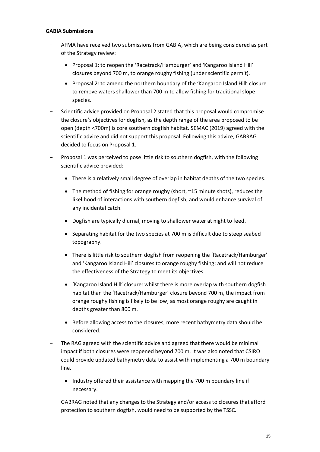#### **GABIA Submissions**

- AFMA have received two submissions from GABIA, which are being considered as part of the Strategy review:
	- Proposal 1: to reopen the 'Racetrack/Hamburger' and 'Kangaroo Island Hill' closures beyond 700 m, to orange roughy fishing (under scientific permit).
	- Proposal 2: to amend the northern boundary of the 'Kangaroo Island Hill' closure to remove waters shallower than 700 m to allow fishing for traditional slope species.
- Scientific advice provided on Proposal 2 stated that this proposal would compromise the closure's objectives for dogfish, as the depth range of the area proposed to be open (depth <700m) is core southern dogfish habitat. SEMAC (2019) agreed with the scientific advice and did not support this proposal. Following this advice, GABRAG decided to focus on Proposal 1.
- Proposal 1 was perceived to pose little risk to southern dogfish, with the following scientific advice provided:
	- There is a relatively small degree of overlap in habitat depths of the two species.
	- The method of fishing for orange roughy (short, ~15 minute shots), reduces the likelihood of interactions with southern dogfish; and would enhance survival of any incidental catch.
	- Dogfish are typically diurnal, moving to shallower water at night to feed.
	- Separating habitat for the two species at 700 m is difficult due to steep seabed topography.
	- There is little risk to southern dogfish from reopening the 'Racetrack/Hamburger' and 'Kangaroo Island Hill' closures to orange roughy fishing; and will not reduce the effectiveness of the Strategy to meet its objectives.
	- 'Kangaroo Island Hill' closure: whilst there is more overlap with southern dogfish habitat than the 'Racetrack/Hamburger' closure beyond 700 m, the impact from orange roughy fishing is likely to be low, as most orange roughy are caught in depths greater than 800 m.
	- Before allowing access to the closures, more recent bathymetry data should be considered.
- The RAG agreed with the scientific advice and agreed that there would be minimal impact if both closures were reopened beyond 700 m. It was also noted that CSIRO could provide updated bathymetry data to assist with implementing a 700 m boundary line.
	- Industry offered their assistance with mapping the 700 m boundary line if necessary.
- GABRAG noted that any changes to the Strategy and/or access to closures that afford protection to southern dogfish, would need to be supported by the TSSC.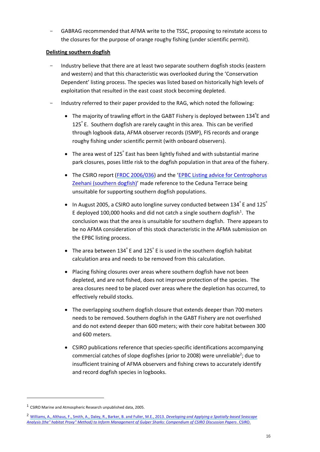GABRAG recommended that AFMA write to the TSSC, proposing to reinstate access to the closures for the purpose of orange roughy fishing (under scientific permit).

## **Delisting southern dogfish**

- Industry believe that there are at least two separate southern dogfish stocks (eastern and western) and that this characteristic was overlooked during the 'Conservation Dependent' listing process. The species was listed based on historically high levels of exploitation that resulted in the east coast stock becoming depleted.
- Industry referred to their paper provided to the RAG, which noted the following:
	- The majority of trawling effort in the GABT Fishery is deployed between 134<sup>°</sup>E and 125<sup>⁰</sup> E. Southern dogfish are rarely caught in this area. This can be verified through logbook data, AFMA observer records (ISMP), FIS records and orange roughy fishing under scientific permit (with onboard observers).
	- The area west of  $125^{\circ}$  East has been lightly fished and with substantial marine park closures, poses little risk to the dogfish population in that area of the fishery.
	- The CSIRO report [\(FRDC 2006/036\)](https://frdc.com.au/Archived-Reports/FRDC%20Projects/2006-036-DLD.pdf) and the 'EPBC Listing advice for Centrophorus Zeehani [\(southern dogfish\)](http://www.environment.gov.au/biodiversity/threatened/species/pubs/82679-listing-advice.pdf)' made reference to the Ceduna Terrace being unsuitable for supporting southern dogfish populations.
	- In August 2005, a CSIRO auto longline survey conducted between 134 $^{\circ}$  E and 125 $^{\circ}$ E deployed 100,000 hooks and did not catch a single southern dogfish<sup>1</sup>. The conclusion was that the area is unsuitable for southern dogfish. There appears to be no AFMA consideration of this stock characteristic in the AFMA submission on the EPBC listing process.
	- The area between 134 $\degree$  E and 125 $\degree$  E is used in the southern dogfish habitat calculation area and needs to be removed from this calculation.
	- Placing fishing closures over areas where southern dogfish have not been depleted, and are not fished, does not improve protection of the species. The area closures need to be placed over areas where the depletion has occurred, to effectively rebuild stocks.
	- The overlapping southern dogfish closure that extends deeper than 700 meters needs to be removed. Southern dogfish in the GABT Fishery are not overfished and do not extend deeper than 600 meters; with their core habitat between 300 and 600 meters.
	- CSIRO publications reference that species-specific identifications accompanying commercial catches of slope dogfishes (prior to 2008) were unreliable<sup>2</sup>; due to insufficient training of AFMA observers and fishing crews to accurately identify and record dogfish species in logbooks.

<sup>&</sup>lt;sup>1</sup> CSIRO Marine and Atmospheric Research unpublished data, 2005.

<sup>2</sup> [Williams, A., Althaus, F., Smith, A., Daley, R., Barker, B. and Fuller, M.E., 2013.](https://publications.csiro.au/rpr/download?pid=csiro:EP131328&dsid=DS5) *Developing and Applying a Spatially-based Seascape [Analysis \(the" habitat Proxy" Method\) to Inform Management of Gulper Sharks: Compendium of CSIRO Discussion Papers](https://publications.csiro.au/rpr/download?pid=csiro:EP131328&dsid=DS5)*. CSIRO.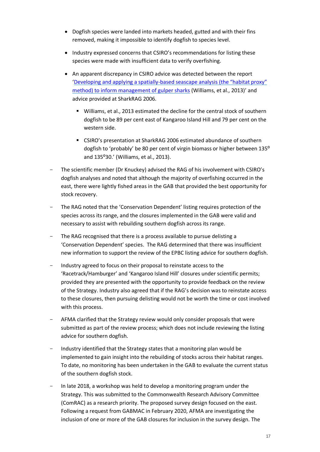- Dogfish species were landed into markets headed, gutted and with their fins removed, making it impossible to identify dogfish to species level.
- Industry expressed concerns that CSIRO's recommendations for listing these species were made with insufficient data to verify overfishing.
- An apparent discrepancy in CSIRO advice was detected between the report 'Developing and applying a spatially-[based seascape analysis \(the "habitat proxy"](https://publications.csiro.au/rpr/download?pid=csiro:EP131328&dsid=DS5)  [method\) to inform management of gulper sharks](https://publications.csiro.au/rpr/download?pid=csiro:EP131328&dsid=DS5) (Williams, et al., 2013)' and advice provided at SharkRAG 2006.
	- Williams, et al., 2013 estimated the decline for the central stock of southern dogfish to be 89 per cent east of Kangaroo Island Hill and 79 per cent on the western side.
	- CSIRO's presentation at SharkRAG 2006 estimated abundance of southern dogfish to 'probably' be 80 per cent of virgin biomass or higher between 135<sup>o</sup> and 135°30.' (Williams, et al., 2013).
- The scientific member (Dr Knuckey) advised the RAG of his involvement with CSIRO's dogfish analyses and noted that although the majority of overfishing occurred in the east, there were lightly fished areas in the GAB that provided the best opportunity for stock recovery.
- The RAG noted that the 'Conservation Dependent' listing requires protection of the species across its range, and the closures implemented in the GAB were valid and necessary to assist with rebuilding southern dogfish across its range.
- The RAG recognised that there is a process available to pursue delisting a 'Conservation Dependent' species. The RAG determined that there was insufficient new information to support the review of the EPBC listing advice for southern dogfish.
- Industry agreed to focus on their proposal to reinstate access to the 'Racetrack/Hamburger' and 'Kangaroo Island Hill' closures under scientific permits; provided they are presented with the opportunity to provide feedback on the review of the Strategy. Industry also agreed that if the RAG's decision was to reinstate access to these closures, then pursuing delisting would not be worth the time or cost involved with this process.
- AFMA clarified that the Strategy review would only consider proposals that were submitted as part of the review process; which does not include reviewing the listing advice for southern dogfish.
- Industry identified that the Strategy states that a monitoring plan would be implemented to gain insight into the rebuilding of stocks across their habitat ranges. To date, no monitoring has been undertaken in the GAB to evaluate the current status of the southern dogfish stock.
- <span id="page-16-0"></span>- In late 2018, a workshop was held to develop a monitoring program under the Strategy. This was submitted to the Commonwealth Research Advisory Committee (ComRAC) as a research priority. The proposed survey design focused on the east. Following a request from GABMAC in February 2020, AFMA are investigating the inclusion of one or more of the GAB closures for inclusion in the survey design. The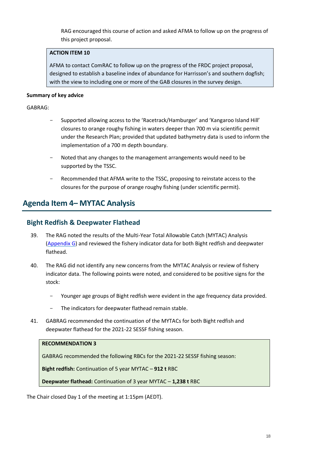RAG encouraged this course of action and asked AFMA to follow up on the progress of this project proposal.

## **ACTION ITEM 10**

AFMA to contact ComRAC to follow up on the progress of the FRDC project proposal, designed to establish a baseline index of abundance for Harrisson's and southern dogfish; with the view to including one or more of the GAB closures in the survey design.

### **Summary of key advice**

### GABRAG:

- Supported allowing access to the 'Racetrack/Hamburger' and 'Kangaroo Island Hill' closures to orange roughy fishing in waters deeper than 700 m via scientific permit under the Research Plan; provided that updated bathymetry data is used to inform the implementation of a 700 m depth boundary.
- Noted that any changes to the management arrangements would need to be supported by the TSSC.
- Recommended that AFMA write to the TSSC, proposing to reinstate access to the closures for the purpose of orange roughy fishing (under scientific permit).

## <span id="page-17-0"></span>**Agenda Item 4– MYTAC Analysis**

## **Bight Redfish & Deepwater Flathead**

- 39. The RAG noted the results of the Multi-Year Total Allowable Catch (MYTAC) Analysis [\(Appendix G\)](#page-48-0) and reviewed the fishery indicator data for both Bight redfish and deepwater flathead.
- 40. The RAG did not identify any new concerns from the MYTAC Analysis or review of fishery indicator data. The following points were noted, and considered to be positive signs for the stock:
	- Younger age groups of Bight redfish were evident in the age frequency data provided.
	- The indicators for deepwater flathead remain stable.
- 41. GABRAG recommended the continuation of the MYTACs for both Bight redfish and deepwater flathead for the 2021-22 SESSF fishing season.

#### **RECOMMENDATION 3**

GABRAG recommended the following RBCs for the 2021-22 SESSF fishing season:

**Bight redfish:** Continuation of 5 year MYTAC – **912 t** RBC

**Deepwater flathead:** Continuation of 3 year MYTAC – **1,238 t** RBC

The Chair closed Day 1 of the meeting at 1:15pm (AEDT).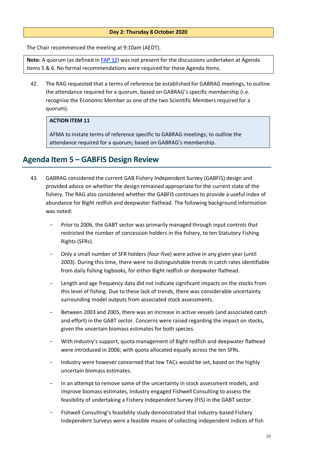### **Day 2: Thursday 8 October 2020**

The Chair recommenced the meeting at 9:10am (AEDT).

**Note:** A quorum (as defined i[n FAP 12\)](https://www.afma.gov.au/sites/default/files/fisheries_administration_paper_12_-_final_draft.pdf) was not present for the discussions undertaken at Agenda Items 5 & 6. No formal recommendations were required for these Agenda Items.

42. The RAG requested that a terms of reference be established for GABRAG meetings, to outline the attendance required for a quorum, based on GABRAG's specific membership (i.e. recognise the Economic Member as one of the two Scientific Members required for a quorum).

## **ACTION ITEM 11**

AFMA to instate terms of reference specific to GABRAG meetings; to outline the attendance required for a quorum; based on GABRAG's membership.

## <span id="page-18-0"></span>**Agenda Item 5 – GABFIS Design Review**

- 43. GABRAG considered the current GAB Fishery Independent Survey (GABFIS) design and provided advice on whether the design remained appropriate for the current state of the fishery. The RAG also considered whether the GABFIS continues to provide a useful index of abundance for Bight redfish and deepwater flathead. The following background information was noted:
	- Prior to 2006, the GABT sector was primarily managed through input controls that restricted the number of concession holders in the fishery, to ten Statutory Fishing Rights (SFRs).
	- Only a small number of SFR holders (four-five) were active in any given year (until 2003). During this time, there were no distinguishable trends in catch rates identifiable from daily fishing logbooks, for either Bight redfish or deepwater flathead.
	- Length and age frequency data did not indicate significant impacts on the stocks from this level of fishing. Due to these lack of trends, there was considerable uncertainty surrounding model outputs from associated stock assessments.
	- Between 2003 and 2005, there was an increase in active vessels (and associated catch and effort) in the GABT sector. Concerns were raised regarding the impact on stocks, given the uncertain biomass estimates for both species.
	- With Industry's support, quota management of Bight redfish and deepwater flathead were introduced in 2006; with quota allocated equally across the ten SFRs.
	- Industry were however concerned that low TACs would be set, based on the highly uncertain biomass estimates.
	- In an attempt to remove some of the uncertainty in stock assessment models, and improve biomass estimates, Industry engaged Fishwell Consulting to assess the feasibility of undertaking a Fishery Independent Survey (FIS) in the GABT sector.
	- Fishwell Consulting's feasibility study demonstrated that industry-based Fishery Independent Surveys were a feasible means of collecting independent indices of fish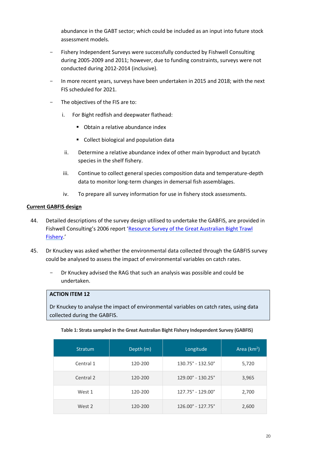abundance in the GABT sector; which could be included as an input into future stock assessment models.

- Fishery Independent Surveys were successfully conducted by Fishwell Consulting during 2005-2009 and 2011; however, due to funding constraints, surveys were not conducted during 2012-2014 (inclusive).
- In more recent years, surveys have been undertaken in 2015 and 2018; with the next FIS scheduled for 2021.
- The objectives of the FIS are to:
	- i. For Bight redfish and deepwater flathead:
		- Obtain a relative abundance index
		- Collect biological and population data
	- ii. Determine a relative abundance index of other main byproduct and bycatch species in the shelf fishery.
	- iii. Continue to collect general species composition data and temperature-depth data to monitor long-term changes in demersal fish assemblages.
	- iv. To prepare all survey information for use in fishery stock assessments.

#### **Current GABFIS design**

- 44. Detailed descriptions of the survey design utilised to undertake the GABFIS, are provided in Fishwell Consulting's 2006 report '[Resource Survey of the Great Australian Bight Trawl](https://www.fishwell.com.au/app_cmslib/media/lib/0908/m281_v1_gabtf%20resource%20survey%202006%20-%20final%20report.pdf)  [Fishery](https://www.fishwell.com.au/app_cmslib/media/lib/0908/m281_v1_gabtf%20resource%20survey%202006%20-%20final%20report.pdf).'
- 45. Dr Knuckey was asked whether the environmental data collected through the GABFIS survey could be analysed to assess the impact of environmental variables on catch rates.
	- Dr Knuckey advised the RAG that such an analysis was possible and could be undertaken.

#### <span id="page-19-0"></span>**ACTION ITEM 12**

Dr Knuckey to analyse the impact of environmental variables on catch rates, using data collected during the GABFIS.

| <b>Stratum</b> | Depth (m) | Longitude                            | Area $(km2)$ |
|----------------|-----------|--------------------------------------|--------------|
| Central 1      | 120-200   | $130.75^{\circ} - 132.50^{\circ}$    | 5,720        |
| Central 2      | 120-200   | $129.00^{\circ}$ - 130.25 $^{\circ}$ | 3,965        |
| West 1         | 120-200   | 127.75° - 129.00°                    | 2,700        |
| West 2         | 120-200   | $126.00^{\circ} - 127.75^{\circ}$    | 2,600        |

**Table 1: Strata sampled in the Great Australian Bight Fishery Independent Survey (GABFIS)**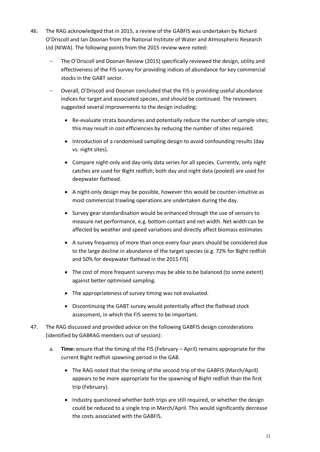- 46. The RAG acknowledged that in 2015, a review of the GABFIS was undertaken by Richard O'Driscoll and Ian Doonan from the National Institute of Water and Atmospheric Research Ltd (NIWA). The following points from the 2015 review were noted:
	- The O'Driscoll and Doonan Review (2015) specifically reviewed the design, utility and effectiveness of the FIS survey for providing indices of abundance for key commercial stocks in the GABT sector.
	- Overall, O'Driscoll and Doonan concluded that the FIS is providing useful abundance indices for target and associated species, and should be continued. The reviewers suggested several improvements to the design including:
		- Re-evaluate strata boundaries and potentially reduce the number of sample sites; this may result in cost efficiencies by reducing the number of sites required.
		- Introduction of a randomised sampling design to avoid confounding results (day vs. night sites).
		- Compare night-only and day-only data series for all species. Currently, only night catches are used for Bight redfish; both day and night data (pooled) are used for deepwater flathead.
		- A night-only design may be possible, however this would be counter-intuitive as most commercial trawling operations are undertaken during the day.
		- Survey gear standardisation would be enhanced through the use of sensors to measure net performance, e.g. bottom contact and net width. Net width can be affected by weather and speed variations and directly affect biomass estimates
		- A survey frequency of more than once every four years should be considered due to the large decline in abundance of the target species (e.g. 72% for Bight redfish and 50% for deepwater flathead in the 2015 FIS)
		- The cost of more frequent surveys may be able to be balanced (to some extent) against better optimised sampling.
		- The appropriateness of survey timing was not evaluated.
		- Discontinuing the GABT survey would potentially affect the flathead stock assessment, in which the FIS seems to be important.
- <span id="page-20-0"></span>47. The RAG discussed and provided advice on the following GABFIS design considerations (identified by GABRAG members out of session):
	- a. **Time:** ensure that the timing of the FIS (February April) remains appropriate for the current Bight redfish spawning period in the GAB.
		- The RAG noted that the timing of the second trip of the GABFIS (March/April) appears to be more appropriate for the spawning of Bight redfish than the first trip (February).
		- Industry questioned whether both trips are still required, or whether the design could be reduced to a single trip in March/April. This would significantly decrease the costs associated with the GABFIS.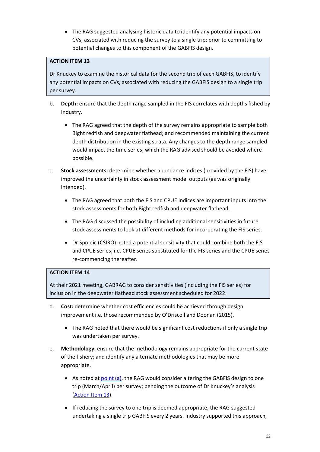• The RAG suggested analysing historic data to identify any potential impacts on CVs, associated with reducing the survey to a single trip; prior to committing to potential changes to this component of the GABFIS design.

## <span id="page-21-0"></span>**ACTION ITEM 13**

Dr Knuckey to examine the historical data for the second trip of each GABFIS, to identify any potential impacts on CVs, associated with reducing the GABFIS design to a single trip per survey.

- b. **Depth:** ensure that the depth range sampled in the FIS correlates with depths fished by Industry.
	- The RAG agreed that the depth of the survey remains appropriate to sample both Bight redfish and deepwater flathead; and recommended maintaining the current depth distribution in the existing strata. Any changes to the depth range sampled would impact the time series; which the RAG advised should be avoided where possible.
- c. **Stock assessments:** determine whether abundance indices (provided by the FIS) have improved the uncertainty in stock assessment model outputs (as was originally intended).
	- The RAG agreed that both the FIS and CPUE indices are important inputs into the stock assessments for both Bight redfish and deepwater flathead.
	- The RAG discussed the possibility of including additional sensitivities in future stock assessments to look at different methods for incorporating the FIS series.
	- Dr Sporcic (CSIRO) noted a potential sensitivity that could combine both the FIS and CPUE series; i.e. CPUE series substituted for the FIS series and the CPUE series re-commencing thereafter.

## **ACTION ITEM 14**

At their 2021 meeting, GABRAG to consider sensitivities (including the FIS series) for inclusion in the deepwater flathead stock assessment scheduled for 2022.

- d. **Cost:** determine whether cost efficiencies could be achieved through design improvement i.e. those recommended by O'Driscoll and Doonan (2015).
	- The RAG noted that there would be significant cost reductions if only a single trip was undertaken per survey.
- e. **Methodology:** ensure that the methodology remains appropriate for the current state of the fishery; and identify any alternate methodologies that may be more appropriate.
	- As noted at [point \(a\),](#page-20-0) the RAG would consider altering the GABFIS design to one trip (March/April) per survey; pending the outcome of Dr Knuckey's analysis [\(Action Item 13\)](#page-21-0).
	- If reducing the survey to one trip is deemed appropriate, the RAG suggested undertaking a single trip GABFIS every 2 years. Industry supported this approach,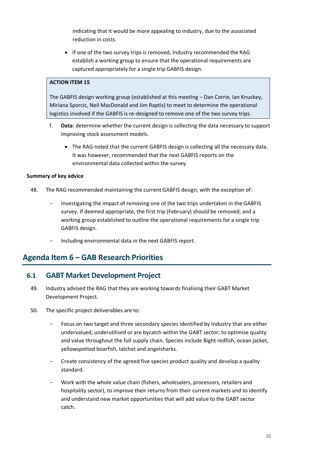indicating that it would be more appealing to industry, due to the associated reduction in costs.

• If one of the two survey trips is removed, Industry recommended the RAG establish a working group to ensure that the operational requirements are captured appropriately for a single trip GABFIS design.

### **ACTION ITEM 15**

The GABFIS design working group (established at this meeting – Dan Corrie, Ian Knuckey, Miriana Sporcic, Neil MacDonald and Jim Raptis) to meet to determine the operational logistics involved if the GABFIS is re-designed to remove one of the two survey trips.

- f. **Data**: determine whether the current design is collecting the data necessary to support improving stock assessment models.
	- The RAG noted that the current GABFIS design is collecting all the necessary data. It was however, recommended that the next GABFIS reports on the environmental data collected within the survey.

### **Summary of key advice**

- 48. The RAG recommended maintaining the current GABFIS design, with the exception of:
	- Investigating the impact of removing one of the two trips undertaken in the GABFIS survey. If deemed appropriate, the first trip (February) should be removed; and a working group established to outline the operational requirements for a single trip GABFIS design.
	- Including environmental data in the next GABFIS report.

## <span id="page-22-0"></span>**Agenda Item 6 – GAB Research Priorities**

## <span id="page-22-1"></span>**6.1 GABT Market Development Project**

- 49. Industry advised the RAG that they are working towards finalising their GABT Market Development Project.
- 50. The specific project deliverables are to:
	- Focus on two target and three secondary species identified by Industry that are either undervalued, underutilised or are bycatch within the GABT sector; to optimise quality and value throughout the full supply chain. Species include Bight redfish, ocean jacket, yellowspotted boarfish, latchet and angelsharks.
	- Create consistency of the agreed five species product quality and develop a quality standard.
	- Work with the whole value chain (fishers, wholesalers, processors, retailers and hospitality sector), to improve their returns from their current markets and to identify and understand new market opportunities that will add value to the GABT sector catch.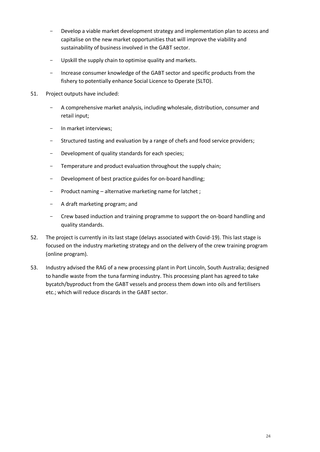- Develop a viable market development strategy and implementation plan to access and capitalise on the new market opportunities that will improve the viability and sustainability of business involved in the GABT sector.
- Upskill the supply chain to optimise quality and markets.
- Increase consumer knowledge of the GABT sector and specific products from the fishery to potentially enhance Social Licence to Operate (SLTO).
- 51. Project outputs have included:
	- A comprehensive market analysis, including wholesale, distribution, consumer and retail input;
	- In market interviews;
	- Structured tasting and evaluation by a range of chefs and food service providers;
	- Development of quality standards for each species;
	- Temperature and product evaluation throughout the supply chain;
	- Development of best practice guides for on-board handling;
	- Product naming alternative marketing name for latchet ;
	- A draft marketing program; and
	- Crew based induction and training programme to support the on-board handling and quality standards.
- 52. The project is currently in its last stage (delays associated with Covid-19). This last stage is focused on the industry marketing strategy and on the delivery of the crew training program (online program).
- 53. Industry advised the RAG of a new processing plant in Port Lincoln, South Australia; designed to handle waste from the tuna farming industry. This processing plant has agreed to take bycatch/byproduct from the GABT vessels and process them down into oils and fertilisers etc.; which will reduce discards in the GABT sector.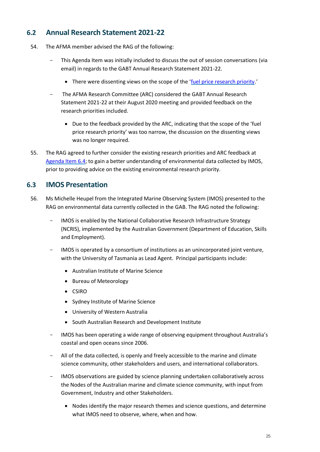## <span id="page-24-0"></span>**6.2 Annual Research Statement 2021-22**

- 54. The AFMA member advised the RAG of the following:
	- This Agenda Item was initially included to discuss the out of session conversations (via email) in regards to the GABT Annual Research Statement 2021-22.
		- There were dissenting views on the scope of the '[fuel price research priority.](#page-27-0)'
	- The AFMA Research Committee (ARC) considered the GABT Annual Research Statement 2021-22 at their August 2020 meeting and provided feedback on the research priorities included.
		- Due to the feedback provided by the ARC, indicating that the scope of the 'fuel price research priority' was too narrow, the discussion on the dissenting views was no longer required.
- 55. The RAG agreed to further consider the existing research priorities and ARC feedback at [Agenda Item 6.4;](#page-26-0) to gain a better understanding of environmental data collected by IMOS, prior to providing advice on the existing environmental research priority.

## <span id="page-24-1"></span>**6.3 IMOS Presentation**

- 56. Ms Michelle Heupel from the Integrated Marine Observing System (IMOS) presented to the RAG on environmental data currently collected in the GAB. The RAG noted the following:
	- IMOS is enabled by the National Collaborative Research Infrastructure Strategy (NCRIS), implemented by the Australian Government (Department of Education, Skills and Employment).
	- IMOS is operated by a consortium of institutions as an unincorporated joint venture, with the University of Tasmania as Lead Agent. Principal participants include:
		- Australian Institute of Marine Science
		- Bureau of Meteorology
		- CSIRO
		- Sydney Institute of Marine Science
		- University of Western Australia
		- South Australian Research and Development Institute
	- IMOS has been operating a wide range of observing equipment throughout Australia's coastal and open oceans since 2006.
	- All of the data collected, is openly and freely accessible to the marine and climate science community, other stakeholders and users, and international collaborators.
	- IMOS observations are guided by science planning undertaken collaboratively across the Nodes of the Australian marine and climate science community, with input from Government, Industry and other Stakeholders.
		- Nodes identify the major research themes and science questions, and determine what IMOS need to observe, where, when and how.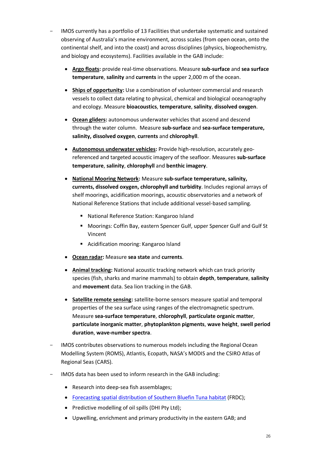- IMOS currently has a portfolio of 13 Facilities that undertake systematic and sustained observing of Australia's marine environment, across scales (from open ocean, onto the continental shelf, and into the coast) and across disciplines (physics, biogeochemistry, and biology and ecosystems). Facilities available in the GAB include:
	- **Argo floats:** provide real-time observations. Measure **sub-surface** and **sea surface temperature**, **salinity** and **currents** in the upper 2,000 m of the ocean.
	- **Ships of opportunity:** Use a combination of volunteer commercial and research vessels to collect data relating to physical, chemical and biological oceanography and ecology. Measure **bioacoustics**, **temperature**, **salinity**, **dissolved oxygen**.
	- **Ocean gliders:** autonomous underwater vehicles that ascend and descend through the water column. Measure **sub-surface** and **sea-surface temperature, salinity, dissolved oxygen**, **currents** and **chlorophyll**.
	- **Autonomous underwater vehicles:** Provide high-resolution, accurately georeferenced and targeted acoustic imagery of the seafloor. Measures **sub-surface temperature**, **salinity**, **chlorophyll** and **benthic imagery**.
	- **National Mooring Network:** Measure **sub-surface temperature, salinity, currents, dissolved oxygen, chlorophyll and turbidity**. Includes regional arrays of shelf moorings, acidification moorings, acoustic observatories and a network of National Reference Stations that include additional vessel-based sampling.
		- National Reference Station: Kangaroo Island
		- Moorings: Coffin Bay, eastern Spencer Gulf, upper Spencer Gulf and Gulf St Vincent
		- Acidification mooring: Kangaroo Island
	- **Ocean radar:** Measure **sea state** and **currents**.
	- **Animal tracking:** National acoustic tracking network which can track priority species (fish, sharks and marine mammals) to obtain **depth**, **temperature**, **salinity** and **movement** data. Sea lion tracking in the GAB.
	- **Satellite remote sensing:** satellite-borne sensors measure spatial and temporal properties of the sea surface using ranges of the electromagnetic spectrum. Measure **sea-surface temperature**, **chlorophyll**, **particulate organic matter**, **particulate inorganic matter**, **phytoplankton pigments**, **wave height**, **swell period duration**, **wave-number spectra**.
- IMOS contributes observations to numerous models including the Regional Ocean Modelling System (ROMS), Atlantis, Ecopath, NASA's MODIS and the CSIRO Atlas of Regional Seas (CARS).
- IMOS data has been used to inform research in the GAB including:
	- Research into deep-sea fish assemblages;
	- [Forecasting spatial distribution of Southern Bluefin Tuna habitat](http://frdc.com.au/Archived-Reports/FRDC%20Projects/2012-239-DLD.pdf) (FRDC);
	- Predictive modelling of oil spills (DHI Pty Ltd);
	- Upwelling, enrichment and primary productivity in the eastern GAB; and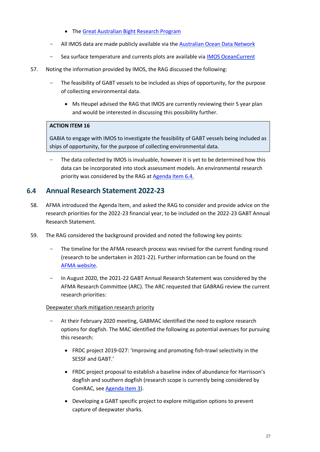- The [Great Australian Bight Research Program](https://www.misa.net.au/GAB)
- All IMOS data are made publicly available via th[e Australian Ocean Data Network](https://imos.org.au/facilities/aodn/)
- Sea surface temperature and currents plots are available via [IMOS OceanCurrent](http://oceancurrent.imos.org.au/)
- 57. Noting the information provided by IMOS, the RAG discussed the following:
	- The feasibility of GABT vessels to be included as ships of opportunity, for the purpose of collecting environmental data.
		- Ms Heupel advised the RAG that IMOS are currently reviewing their 5 year plan and would be interested in discussing this possibility further.

## **ACTION ITEM 16**

GABIA to engage with IMOS to investigate the feasibility of GABT vessels being included as ships of opportunity, for the purpose of collecting environmental data.

The data collected by IMOS is invaluable, however it is yet to be determined how this data can be incorporated into stock assessment models. An environmental research priority was considered by the RAG a[t Agenda Item 6.4.](#page-26-0)

## <span id="page-26-0"></span>**6.4 Annual Research Statement 2022-23**

- 58. AFMA introduced the Agenda Item, and asked the RAG to consider and provide advice on the research priorities for the 2022-23 financial year, to be included on the 2022-23 GABT Annual Research Statement.
- 59. The RAG considered the background provided and noted the following key points:
	- The timeline for the AFMA research process was revised for the current funding round (research to be undertaken in 2021-22). Further information can be found on the [AFMA website.](https://www.afma.gov.au/news-media/news/public-call-research-proposals-potential-afma-funding-2021-22)
	- In August 2020, the 2021-22 GABT Annual Research Statement was considered by the AFMA Research Committee (ARC). The ARC requested that GABRAG review the current research priorities:

## Deepwater shark mitigation research priority

- At their February 2020 meeting, GABMAC identified the need to explore research options for dogfish. The MAC identified the following as potential avenues for pursuing this research:
	- FRDC project 2019-027: 'Improving and promoting fish-trawl selectivity in the SESSF and GABT.'
	- FRDC project proposal to establish a baseline index of abundance for Harrisson's dogfish and southern dogfish (research scope is currently being considered by ComRAC, see [Agenda Item 3\)](#page-16-0).
	- Developing a GABT specific project to explore mitigation options to prevent capture of deepwater sharks.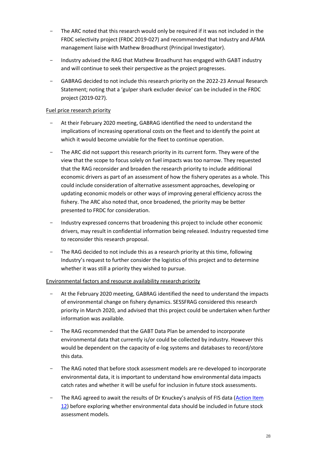- The ARC noted that this research would only be required if it was not included in the FRDC selectivity project (FRDC 2019-027) and recommended that Industry and AFMA management liaise with Mathew Broadhurst (Principal Investigator).
- Industry advised the RAG that Mathew Broadhurst has engaged with GABT industry and will continue to seek their perspective as the project progresses.
- GABRAG decided to not include this research priority on the 2022-23 Annual Research Statement; noting that a 'gulper shark excluder device' can be included in the FRDC project (2019-027).

### <span id="page-27-0"></span>Fuel price research priority

- At their February 2020 meeting, GABRAG identified the need to understand the implications of increasing operational costs on the fleet and to identify the point at which it would become unviable for the fleet to continue operation.
- The ARC did not support this research priority in its current form. They were of the view that the scope to focus solely on fuel impacts was too narrow. They requested that the RAG reconsider and broaden the research priority to include additional economic drivers as part of an assessment of how the fishery operates as a whole. This could include consideration of alternative assessment approaches, developing or updating economic models or other ways of improving general efficiency across the fishery. The ARC also noted that, once broadened, the priority may be better presented to FRDC for consideration.
- Industry expressed concerns that broadening this project to include other economic drivers, may result in confidential information being released. Industry requested time to reconsider this research proposal.
- The RAG decided to not include this as a research priority at this time, following Industry's request to further consider the logistics of this project and to determine whether it was still a priority they wished to pursue.

## Environmental factors and resource availability research priority

- At the February 2020 meeting, GABRAG identified the need to understand the impacts of environmental change on fishery dynamics. SESSFRAG considered this research priority in March 2020, and advised that this project could be undertaken when further information was available.
- The RAG recommended that the GABT Data Plan be amended to incorporate environmental data that currently is/or could be collected by industry. However this would be dependent on the capacity of e-log systems and databases to record/store this data.
- The RAG noted that before stock assessment models are re-developed to incorporate environmental data, it is important to understand how environmental data impacts catch rates and whether it will be useful for inclusion in future stock assessments.
- The RAG agreed to await the results of Dr Knuckey's analysis of FIS data (Action Item [12\)](#page-19-0) before exploring whether environmental data should be included in future stock assessment models.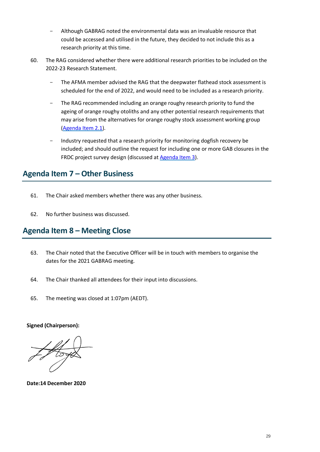- Although GABRAG noted the environmental data was an invaluable resource that could be accessed and utilised in the future, they decided to not include this as a research priority at this time.
- 60. The RAG considered whether there were additional research priorities to be included on the 2022-23 Research Statement.
	- The AFMA member advised the RAG that the deepwater flathead stock assessment is scheduled for the end of 2022, and would need to be included as a research priority.
	- The RAG recommended including an orange roughy research priority to fund the ageing of orange roughy otoliths and any other potential research requirements that may arise from the alternatives for orange roughy stock assessment working group [\(Agenda Item 2.1\)](#page-7-0).
	- Industry requested that a research priority for monitoring dogfish recovery be included; and should outline the request for including one or more GAB closures in the FRDC project survey design (discussed a[t Agenda Item 3\)](#page-16-0).

## <span id="page-28-0"></span>**Agenda Item 7 – Other Business**

- 61. The Chair asked members whether there was any other business.
- 62. No further business was discussed.

## <span id="page-28-1"></span>**Agenda Item 8 – Meeting Close**

- 63. The Chair noted that the Executive Officer will be in touch with members to organise the dates for the 2021 GABRAG meeting.
- 64. The Chair thanked all attendees for their input into discussions.
- 65. The meeting was closed at 1:07pm (AEDT).

### **Signed (Chairperson):**

**Date:14 December 2020**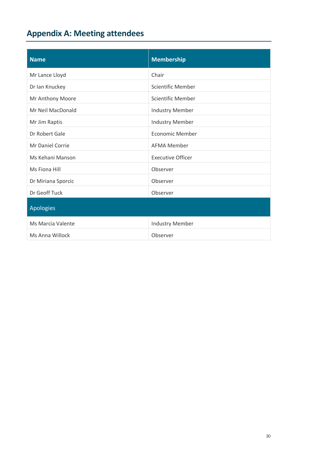# <span id="page-29-0"></span>**Appendix A: Meeting attendees**

| <b>Name</b>             | <b>Membership</b>        |  |  |
|-------------------------|--------------------------|--|--|
| Mr Lance Lloyd          | Chair                    |  |  |
| Dr Ian Knuckey          | <b>Scientific Member</b> |  |  |
| Mr Anthony Moore        | <b>Scientific Member</b> |  |  |
| Mr Neil MacDonald       | <b>Industry Member</b>   |  |  |
| Mr Jim Raptis           | <b>Industry Member</b>   |  |  |
| Dr Robert Gale          | <b>Economic Member</b>   |  |  |
| <b>Mr Daniel Corrie</b> | <b>AFMA Member</b>       |  |  |
| Ms Kehani Manson        | <b>Executive Officer</b> |  |  |
| Ms Fiona Hill           | Observer                 |  |  |
| Dr Miriana Sporcic      | Observer                 |  |  |
| Dr Geoff Tuck           | Observer                 |  |  |
| <b>Apologies</b>        |                          |  |  |
| Ms Marcia Valente       | <b>Industry Member</b>   |  |  |
| Ms Anna Willock         | Observer                 |  |  |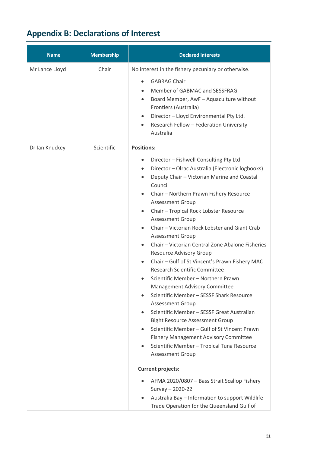# <span id="page-30-0"></span>**Appendix B: Declarations of Interest**

| <b>Name</b>    | <b>Membership</b> | <b>Declared interests</b>                                                                                                                                                                                                                                                                                                                                                                                                                                                                                                                                                                                                                                                                                                                                                                                                                                                                                                                                                                                                                                                                                                                                                                                                                                               |
|----------------|-------------------|-------------------------------------------------------------------------------------------------------------------------------------------------------------------------------------------------------------------------------------------------------------------------------------------------------------------------------------------------------------------------------------------------------------------------------------------------------------------------------------------------------------------------------------------------------------------------------------------------------------------------------------------------------------------------------------------------------------------------------------------------------------------------------------------------------------------------------------------------------------------------------------------------------------------------------------------------------------------------------------------------------------------------------------------------------------------------------------------------------------------------------------------------------------------------------------------------------------------------------------------------------------------------|
| Mr Lance Lloyd | Chair             | No interest in the fishery pecuniary or otherwise.<br><b>GABRAG Chair</b><br>$\bullet$<br>Member of GABMAC and SESSFRAG<br>Board Member, AwF - Aquaculture without<br>$\bullet$<br>Frontiers (Australia)<br>Director - Lloyd Environmental Pty Ltd.<br>$\bullet$<br>Research Fellow - Federation University<br>$\bullet$<br>Australia                                                                                                                                                                                                                                                                                                                                                                                                                                                                                                                                                                                                                                                                                                                                                                                                                                                                                                                                   |
| Dr Ian Knuckey | Scientific        | <b>Positions:</b><br>Director - Fishwell Consulting Pty Ltd<br>$\bullet$<br>Director - Olrac Australia (Electronic logbooks)<br>$\bullet$<br>Deputy Chair - Victorian Marine and Coastal<br>$\bullet$<br>Council<br>Chair - Northern Prawn Fishery Resource<br><b>Assessment Group</b><br>Chair - Tropical Rock Lobster Resource<br>$\bullet$<br><b>Assessment Group</b><br>Chair - Victorian Rock Lobster and Giant Crab<br><b>Assessment Group</b><br>Chair - Victorian Central Zone Abalone Fisheries<br><b>Resource Advisory Group</b><br>Chair - Gulf of St Vincent's Prawn Fishery MAC<br><b>Research Scientific Committee</b><br>Scientific Member - Northern Prawn<br>Management Advisory Committee<br>Scientific Member - SESSF Shark Resource<br><b>Assessment Group</b><br>Scientific Member - SESSF Great Australian<br><b>Bight Resource Assessment Group</b><br>Scientific Member - Gulf of St Vincent Prawn<br>Fishery Management Advisory Committee<br>Scientific Member - Tropical Tuna Resource<br><b>Assessment Group</b><br><b>Current projects:</b><br>AFMA 2020/0807 - Bass Strait Scallop Fishery<br>$\bullet$<br>Survey - 2020-22<br>Australia Bay - Information to support Wildlife<br>$\bullet$<br>Trade Operation for the Queensland Gulf of |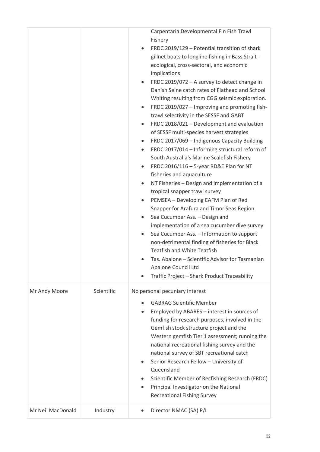|                   |            | Carpentaria Developmental Fin Fish Trawl<br>Fishery<br>FRDC 2019/129 - Potential transition of shark<br>gillnet boats to longline fishing in Bass Strait -<br>ecological, cross-sectoral, and economic<br>implications<br>FRDC 2019/072 - A survey to detect change in<br>Danish Seine catch rates of Flathead and School<br>Whiting resulting from CGG seismic exploration.<br>FRDC 2019/027 - Improving and promoting fish-<br>$\bullet$<br>trawl selectivity in the SESSF and GABT<br>FRDC 2018/021 - Development and evaluation<br>$\bullet$<br>of SESSF multi-species harvest strategies<br>FRDC 2017/069 - Indigenous Capacity Building<br>$\bullet$<br>FRDC 2017/014 - Informing structural reform of<br>$\bullet$<br>South Australia's Marine Scalefish Fishery<br>FRDC 2016/116 - 5-year RD&E Plan for NT<br>fisheries and aquaculture<br>NT Fisheries - Design and implementation of a<br>tropical snapper trawl survey<br>PEMSEA - Developing EAFM Plan of Red<br>Snapper for Arafura and Timor Seas Region<br>Sea Cucumber Ass. - Design and<br>$\bullet$<br>implementation of a sea cucumber dive survey<br>Sea Cucumber Ass. - Information to support<br>non-detrimental finding of fisheries for Black<br><b>Teatfish and White Teatfish</b><br>Tas. Abalone - Scientific Advisor for Tasmanian<br>Abalone Council Ltd<br>Traffic Project - Shark Product Traceability |
|-------------------|------------|---------------------------------------------------------------------------------------------------------------------------------------------------------------------------------------------------------------------------------------------------------------------------------------------------------------------------------------------------------------------------------------------------------------------------------------------------------------------------------------------------------------------------------------------------------------------------------------------------------------------------------------------------------------------------------------------------------------------------------------------------------------------------------------------------------------------------------------------------------------------------------------------------------------------------------------------------------------------------------------------------------------------------------------------------------------------------------------------------------------------------------------------------------------------------------------------------------------------------------------------------------------------------------------------------------------------------------------------------------------------------------------|
| Mr Andy Moore     | Scientific | No personal pecuniary interest                                                                                                                                                                                                                                                                                                                                                                                                                                                                                                                                                                                                                                                                                                                                                                                                                                                                                                                                                                                                                                                                                                                                                                                                                                                                                                                                                        |
|                   |            | <b>GABRAG Scientific Member</b><br>Employed by ABARES - interest in sources of<br>funding for research purposes, involved in the<br>Gemfish stock structure project and the<br>Western gemfish Tier 1 assessment; running the<br>national recreational fishing survey and the<br>national survey of SBT recreational catch<br>Senior Research Fellow - University of<br>$\bullet$<br>Queensland<br>Scientific Member of Recfishing Research (FRDC)<br>Principal Investigator on the National<br><b>Recreational Fishing Survey</b>                                                                                                                                                                                                                                                                                                                                                                                                                                                                                                                                                                                                                                                                                                                                                                                                                                                    |
| Mr Neil MacDonald | Industry   | Director NMAC (SA) P/L                                                                                                                                                                                                                                                                                                                                                                                                                                                                                                                                                                                                                                                                                                                                                                                                                                                                                                                                                                                                                                                                                                                                                                                                                                                                                                                                                                |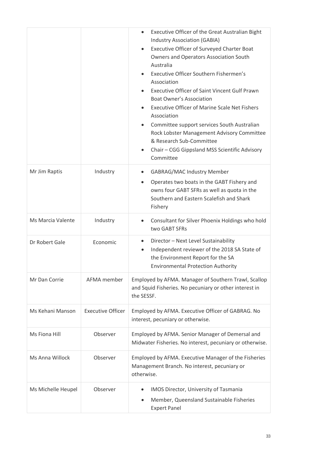|                    |                          | Executive Officer of the Great Australian Bight<br>$\bullet$<br><b>Industry Association (GABIA)</b><br>Executive Officer of Surveyed Charter Boat<br>$\bullet$<br><b>Owners and Operators Association South</b><br>Australia<br>Executive Officer Southern Fishermen's<br>$\bullet$<br>Association<br><b>Executive Officer of Saint Vincent Gulf Prawn</b><br><b>Boat Owner's Association</b><br><b>Executive Officer of Marine Scale Net Fishers</b><br>Association<br>Committee support services South Australian<br>$\bullet$<br>Rock Lobster Management Advisory Committee<br>& Research Sub-Committee<br>Chair - CGG Gippsland MSS Scientific Advisory<br>Committee |  |  |
|--------------------|--------------------------|--------------------------------------------------------------------------------------------------------------------------------------------------------------------------------------------------------------------------------------------------------------------------------------------------------------------------------------------------------------------------------------------------------------------------------------------------------------------------------------------------------------------------------------------------------------------------------------------------------------------------------------------------------------------------|--|--|
| Mr Jim Raptis      | Industry                 | <b>GABRAG/MAC Industry Member</b><br>$\bullet$<br>Operates two boats in the GABT Fishery and<br>owns four GABT SFRs as well as quota in the<br>Southern and Eastern Scalefish and Shark<br>Fishery                                                                                                                                                                                                                                                                                                                                                                                                                                                                       |  |  |
| Ms Marcia Valente  | Industry                 | Consultant for Silver Phoenix Holdings who hold<br>two GABT SFRs                                                                                                                                                                                                                                                                                                                                                                                                                                                                                                                                                                                                         |  |  |
| Dr Robert Gale     | Economic                 | Director - Next Level Sustainability<br>$\bullet$<br>Independent reviewer of the 2018 SA State of<br>$\bullet$<br>the Environment Report for the SA<br><b>Environmental Protection Authority</b>                                                                                                                                                                                                                                                                                                                                                                                                                                                                         |  |  |
| Mr Dan Corrie      | AFMA member              | Employed by AFMA. Manager of Southern Trawl, Scallop<br>and Squid Fisheries. No pecuniary or other interest in<br>the SESSF.                                                                                                                                                                                                                                                                                                                                                                                                                                                                                                                                             |  |  |
| Ms Kehani Manson   | <b>Executive Officer</b> | Employed by AFMA. Executive Officer of GABRAG. No<br>interest, pecuniary or otherwise.                                                                                                                                                                                                                                                                                                                                                                                                                                                                                                                                                                                   |  |  |
| Ms Fiona Hill      | Observer                 | Employed by AFMA. Senior Manager of Demersal and<br>Midwater Fisheries. No interest, pecuniary or otherwise.                                                                                                                                                                                                                                                                                                                                                                                                                                                                                                                                                             |  |  |
| Ms Anna Willock    | Observer                 | Employed by AFMA. Executive Manager of the Fisheries<br>Management Branch. No interest, pecuniary or<br>otherwise.                                                                                                                                                                                                                                                                                                                                                                                                                                                                                                                                                       |  |  |
| Ms Michelle Heupel | Observer                 | IMOS Director, University of Tasmania<br>$\bullet$<br>Member, Queensland Sustainable Fisheries<br>$\bullet$<br><b>Expert Panel</b>                                                                                                                                                                                                                                                                                                                                                                                                                                                                                                                                       |  |  |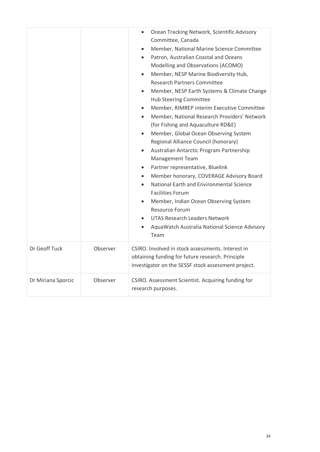|                    |          | Ocean Tracking Network, Scientific Advisory<br>$\bullet$<br>Committee, Canada<br>Member, National Marine Science Committee<br>$\bullet$<br>Patron, Australian Coastal and Oceans<br>$\bullet$<br>Modelling and Observations (ACOMO)<br>Member, NESP Marine Biodiversity Hub,<br>$\bullet$<br><b>Research Partners Committee</b><br>Member, NESP Earth Systems & Climate Change<br>$\bullet$<br><b>Hub Steering Committee</b><br>Member, RIMREP interim Executive Committee<br>$\bullet$<br>Member, National Research Providers' Network<br>$\bullet$<br>(for Fishing and Aquaculture RD&E)<br>Member, Global Ocean Observing System<br>$\bullet$<br>Regional Alliance Council (honorary)<br>Australian Antarctic Program Partnership<br>$\bullet$<br><b>Management Team</b><br>Partner representative, Bluelink<br>$\bullet$<br>Member honorary, COVERAGE Advisory Board<br>$\bullet$<br>National Earth and Environmental Science<br>$\bullet$<br><b>Facilities Forum</b><br>Member, Indian Ocean Observing System<br>$\bullet$<br>Resource Forum<br><b>UTAS Research Leaders Network</b><br>AquaWatch Australia National Science Advisory<br>$\bullet$<br>Team |  |  |
|--------------------|----------|-----------------------------------------------------------------------------------------------------------------------------------------------------------------------------------------------------------------------------------------------------------------------------------------------------------------------------------------------------------------------------------------------------------------------------------------------------------------------------------------------------------------------------------------------------------------------------------------------------------------------------------------------------------------------------------------------------------------------------------------------------------------------------------------------------------------------------------------------------------------------------------------------------------------------------------------------------------------------------------------------------------------------------------------------------------------------------------------------------------------------------------------------------------------|--|--|
| Dr Geoff Tuck      | Observer | CSIRO. Involved in stock assessments. Interest in<br>obtaining funding for future research. Principle<br>investigator on the SESSF stock assessment project.                                                                                                                                                                                                                                                                                                                                                                                                                                                                                                                                                                                                                                                                                                                                                                                                                                                                                                                                                                                                    |  |  |
| Dr Miriana Sporcic | Observer | CSIRO. Assessment Scientist. Acquiring funding for<br>research purposes.                                                                                                                                                                                                                                                                                                                                                                                                                                                                                                                                                                                                                                                                                                                                                                                                                                                                                                                                                                                                                                                                                        |  |  |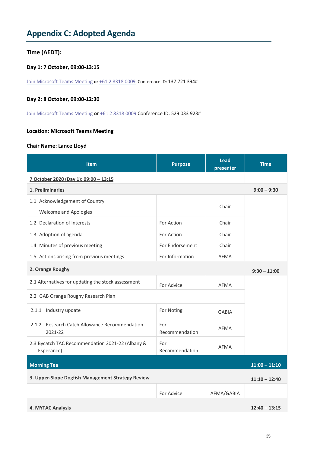## <span id="page-34-0"></span>**Appendix C: Adopted Agenda**

## **Time (AEDT):**

## **Day 1: 7 October, 09:00-13:15**

[Join Microsoft Teams Meeting](https://teams.microsoft.com/l/meetup-join/19%3ameeting_MWVjODcyMDktMzE2Mi00NDVmLTkxZGItYWYwNTJkZGNiNmEz%40thread.v2/0?context=%7b%22Tid%22%3a%22d176b593-7d9c-41ed-a769-f0f622e3b073%22%2c%22Oid%22%3a%22d25d97c0-484d-4735-870c-0409ca3ccb50%22%7d) **or** [+61 2 8318 0009](tel:+61%202%208318%200009,,137721394# ) Conference ID: 137 721 394#

## **Day 2: 8 October, 09:00-12:30**

[Join Microsoft Teams Meeting](https://teams.microsoft.com/l/meetup-join/19%3ameeting_ZTY2ZDlkZWMtMGY5ZC00ZDRiLTg0YmUtZThiYWMyYjFhYTQy%40thread.v2/0?context=%7b%22Tid%22%3a%22d176b593-7d9c-41ed-a769-f0f622e3b073%22%2c%22Oid%22%3a%22d25d97c0-484d-4735-870c-0409ca3ccb50%22%7d) **or** [+61 2 8318 0009](tel:+61%202%208318%200009,,529033923# ) Conference ID: 529 033 923#

#### **Location: Microsoft Teams Meeting**

#### **Chair Name: Lance Lloyd**

| <b>Item</b>                                                    | <b>Purpose</b>        | <b>Lead</b><br>presenter | <b>Time</b>     |  |  |  |
|----------------------------------------------------------------|-----------------------|--------------------------|-----------------|--|--|--|
| 7 October 2020 (Day 1): 09:00 - 13:15                          |                       |                          |                 |  |  |  |
| 1. Preliminaries                                               |                       |                          | $9:00 - 9:30$   |  |  |  |
| 1.1 Acknowledgement of Country                                 |                       | Chair                    |                 |  |  |  |
| <b>Welcome and Apologies</b>                                   |                       |                          |                 |  |  |  |
| 1.2 Declaration of interests                                   | For Action            | Chair                    |                 |  |  |  |
| 1.3 Adoption of agenda                                         | For Action            | Chair                    |                 |  |  |  |
| 1.4 Minutes of previous meeting                                | For Endorsement       | Chair                    |                 |  |  |  |
| 1.5 Actions arising from previous meetings                     | For Information       | AFMA                     |                 |  |  |  |
| 2. Orange Roughy                                               |                       |                          |                 |  |  |  |
| 2.1 Alternatives for updating the stock assessment             | For Advice            | <b>AFMA</b>              |                 |  |  |  |
| 2.2 GAB Orange Roughy Research Plan                            |                       |                          |                 |  |  |  |
| 2.1.1 Industry update                                          | For Noting            | <b>GABIA</b>             |                 |  |  |  |
| 2.1.2 Research Catch Allowance Recommendation<br>2021-22       | For<br>Recommendation | <b>AFMA</b>              |                 |  |  |  |
| 2.3 Bycatch TAC Recommendation 2021-22 (Albany &<br>Esperance) | For<br>Recommendation | <b>AFMA</b>              |                 |  |  |  |
| <b>Morning Tea</b><br>$11:00 - 11:10$                          |                       |                          |                 |  |  |  |
| 3. Upper-Slope Dogfish Management Strategy Review              |                       |                          | $11:10 - 12:40$ |  |  |  |
|                                                                | For Advice            | AFMA/GABIA               |                 |  |  |  |
| <b>4. MYTAC Analysis</b>                                       |                       |                          | $12:40 - 13:15$ |  |  |  |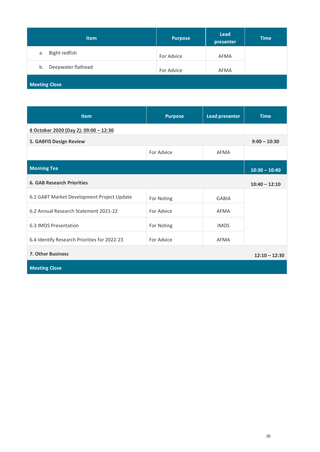| <b>Item</b>              | <b>Purpose</b> | <b>Lead</b><br>presenter | <b>Time</b> |  |  |
|--------------------------|----------------|--------------------------|-------------|--|--|
| Bight redfish<br>a.      | For Advice     | AFMA                     |             |  |  |
| Deepwater flathead<br>b. | For Advice     | AFMA                     |             |  |  |
| <b>Meeting Close</b>     |                |                          |             |  |  |

| <b>Item</b>                                  | <b>Purpose</b> | <b>Lead presenter</b> | <b>Time</b>     |  |  |  |
|----------------------------------------------|----------------|-----------------------|-----------------|--|--|--|
| 8 October 2020 (Day 2): 09:00 - 12:30        |                |                       |                 |  |  |  |
| <b>5. GABFIS Design Review</b>               |                |                       | $9:00 - 10:30$  |  |  |  |
|                                              | For Advice     | <b>AFMA</b>           |                 |  |  |  |
| <b>Morning Tea</b>                           |                |                       | $10:30 - 10:40$ |  |  |  |
| <b>6. GAB Research Priorities</b>            |                |                       | $10:40 - 12:10$ |  |  |  |
| 6.1 GABT Market Development Project Update   | For Noting     | <b>GABIA</b>          |                 |  |  |  |
| 6.2 Annual Research Statement 2021-22        | For Advice     | AFMA                  |                 |  |  |  |
| 6.3 IMOS Presentation                        | For Noting     | <b>IMOS</b>           |                 |  |  |  |
| 6.4 Identify Research Priorities for 2022-23 | For Advice     | <b>AFMA</b>           |                 |  |  |  |
| <b>7. Other Business</b><br>$12:10 - 12:30$  |                |                       |                 |  |  |  |

**Meeting Close**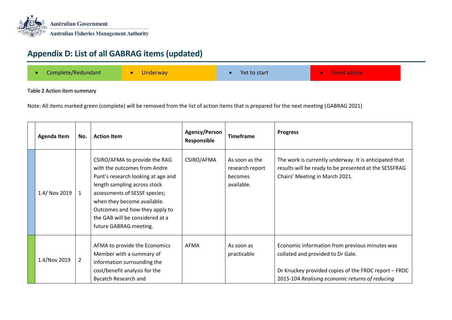

## **Appendix D: List of all GABRAG items (updated)**

| Complete/Redundant<br><b>Underway</b> |
|---------------------------------------|
|---------------------------------------|

## **Table 2 Action item summary**

Note: All items marked green (complete) will be removed from the list of action items that is prepared for the next meeting (GABRAG 2021)

<span id="page-36-0"></span>

| Agenda Item   | No. | <b>Action Item</b>                                                                                                                                                                                                                                                                                 | Agency/Person<br>Responsible | <b>Timeframe</b>                                           | <b>Progress</b>                                                                                                                                                                                |
|---------------|-----|----------------------------------------------------------------------------------------------------------------------------------------------------------------------------------------------------------------------------------------------------------------------------------------------------|------------------------------|------------------------------------------------------------|------------------------------------------------------------------------------------------------------------------------------------------------------------------------------------------------|
| 1.4/ Nov 2019 | 1   | CSIRO/AFMA to provide the RAG<br>with the outcomes from Andre<br>Punt's research looking at age and<br>length sampling across stock<br>assessments of SESSF species;<br>when they become available.<br>Outcomes and how they apply to<br>the GAB will be considered at a<br>future GABRAG meeting. | CSIRO/AFMA                   | As soon as the<br>research report<br>becomes<br>available. | The work is currently underway. It is anticipated that<br>results will be ready to be presented at the SESSFRAG<br>Chairs' Meeting in March 2021.                                              |
| 1.4/Nov 2019  | 2   | AFMA to provide the Economics<br>Member with a summary of<br>information surrounding the<br>cost/benefit analysis for the<br><b>Bycatch Research and</b>                                                                                                                                           | AFMA                         | As soon as<br>practicable                                  | Economic information from previous minutes was<br>collated and provided to Dr Gale.<br>Dr Knuckey provided copies of the FRDC report - FRDC<br>2015-104 Realising economic returns of reducing |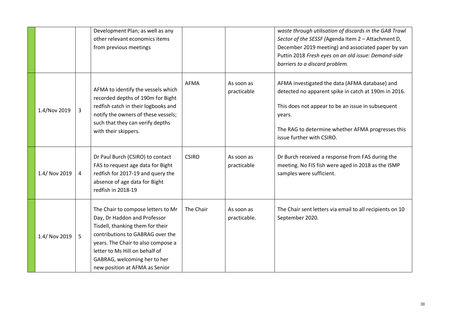|               |   | Development Plan; as well as any<br>other relevant economics items<br>from previous meetings                                                                                                                                                                                         |              |                            | waste through utilisation of discards in the GAB Trawl<br>Sector of the SESSF (Agenda Item 2 - Attachment D,<br>December 2019 meeting) and associated paper by van<br>Puttin 2018 Fresh eyes on an old issue: Demand-side<br>barriers to a discard problem. |
|---------------|---|--------------------------------------------------------------------------------------------------------------------------------------------------------------------------------------------------------------------------------------------------------------------------------------|--------------|----------------------------|-------------------------------------------------------------------------------------------------------------------------------------------------------------------------------------------------------------------------------------------------------------|
| 1.4/Nov 2019  | 3 | AFMA to identify the vessels which<br>recorded depths of 190m for Bight<br>redfish catch in their logbooks and<br>notify the owners of these vessels;<br>such that they can verify depths<br>with their skippers.                                                                    | <b>AFMA</b>  | As soon as<br>practicable  | AFMA investigated the data (AFMA database) and<br>detected no apparent spike in catch at 190m in 2016.<br>This does not appear to be an issue in subsequent<br>years.<br>The RAG to determine whether AFMA progresses this<br>issue further with CSIRO.     |
| 1.4/ Nov 2019 | 4 | Dr Paul Burch (CSIRO) to contact<br>FAS to request age data for Bight<br>redfish for 2017-19 and query the<br>absence of age data for Bight<br>redfish in 2018-19                                                                                                                    | <b>CSIRO</b> | As soon as<br>practicable  | Dr Burch received a response from FAS during the<br>meeting. No FIS fish were aged in 2018 as the ISMP<br>samples were sufficient.                                                                                                                          |
| 1.4/ Nov 2019 | 5 | The Chair to compose letters to Mr<br>Day, Dr Haddon and Professor<br>Tisdell, thanking them for their<br>contributions to GABRAG over the<br>years. The Chair to also compose a<br>letter to Ms Hill on behalf of<br>GABRAG, welcoming her to her<br>new position at AFMA as Senior | The Chair    | As soon as<br>practicable. | The Chair sent letters via email to all recipients on 10<br>September 2020.                                                                                                                                                                                 |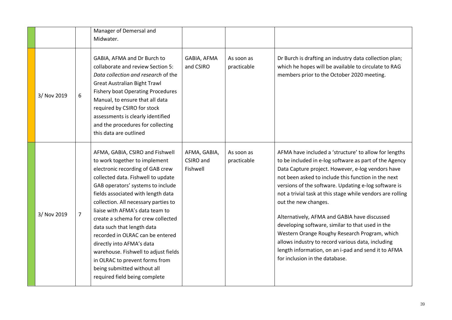|             |                | Manager of Demersal and<br>Midwater.                                                                                                                                                                                                                                                                                                                                                                                                                                                                                                                                            |                                       |                           |                                                                                                                                                                                                                                                                                                                                                                                                                                                                                                                                                                                                                                                                              |
|-------------|----------------|---------------------------------------------------------------------------------------------------------------------------------------------------------------------------------------------------------------------------------------------------------------------------------------------------------------------------------------------------------------------------------------------------------------------------------------------------------------------------------------------------------------------------------------------------------------------------------|---------------------------------------|---------------------------|------------------------------------------------------------------------------------------------------------------------------------------------------------------------------------------------------------------------------------------------------------------------------------------------------------------------------------------------------------------------------------------------------------------------------------------------------------------------------------------------------------------------------------------------------------------------------------------------------------------------------------------------------------------------------|
| 3/ Nov 2019 | 6              | GABIA, AFMA and Dr Burch to<br>collaborate and review Section 5:<br>Data collection and research of the<br><b>Great Australian Bight Trawl</b><br><b>Fishery boat Operating Procedures</b><br>Manual, to ensure that all data<br>required by CSIRO for stock<br>assessments is clearly identified<br>and the procedures for collecting<br>this data are outlined                                                                                                                                                                                                                | GABIA, AFMA<br>and CSIRO              | As soon as<br>practicable | Dr Burch is drafting an industry data collection plan;<br>which he hopes will be available to circulate to RAG<br>members prior to the October 2020 meeting.                                                                                                                                                                                                                                                                                                                                                                                                                                                                                                                 |
| 3/ Nov 2019 | $\overline{7}$ | AFMA, GABIA, CSIRO and Fishwell<br>to work together to implement<br>electronic recording of GAB crew<br>collected data. Fishwell to update<br>GAB operators' systems to include<br>fields associated with length data<br>collection. All necessary parties to<br>liaise with AFMA's data team to<br>create a schema for crew collected<br>data such that length data<br>recorded in OLRAC can be entered<br>directly into AFMA's data<br>warehouse. Fishwell to adjust fields<br>in OLRAC to prevent forms from<br>being submitted without all<br>required field being complete | AFMA, GABIA,<br>CSIRO and<br>Fishwell | As soon as<br>practicable | AFMA have included a 'structure' to allow for lengths<br>to be included in e-log software as part of the Agency<br>Data Capture project. However, e-log vendors have<br>not been asked to include this function in the next<br>versions of the software. Updating e-log software is<br>not a trivial task at this stage while vendors are rolling<br>out the new changes.<br>Alternatively, AFMA and GABIA have discussed<br>developing software, similar to that used in the<br>Western Orange Roughy Research Program, which<br>allows industry to record various data, including<br>length information, on an i-pad and send it to AFMA<br>for inclusion in the database. |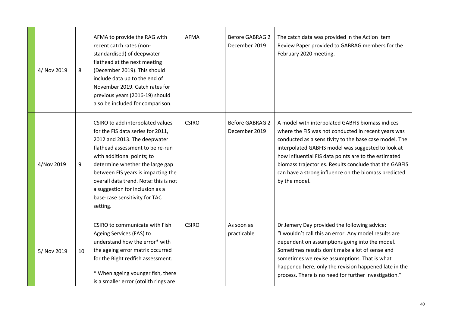| 4/ Nov 2019 | 8  | AFMA to provide the RAG with<br>recent catch rates (non-<br>standardised) of deepwater<br>flathead at the next meeting<br>(December 2019). This should<br>include data up to the end of<br>November 2019. Catch rates for<br>previous years (2016-19) should<br>also be included for comparison.                                                                          | <b>AFMA</b>  | <b>Before GABRAG 2</b><br>December 2019 | The catch data was provided in the Action Item<br>Review Paper provided to GABRAG members for the<br>February 2020 meeting.                                                                                                                                                                                                                                                                                        |
|-------------|----|---------------------------------------------------------------------------------------------------------------------------------------------------------------------------------------------------------------------------------------------------------------------------------------------------------------------------------------------------------------------------|--------------|-----------------------------------------|--------------------------------------------------------------------------------------------------------------------------------------------------------------------------------------------------------------------------------------------------------------------------------------------------------------------------------------------------------------------------------------------------------------------|
| 4/Nov 2019  | 9  | CSIRO to add interpolated values<br>for the FIS data series for 2011,<br>2012 and 2013. The deepwater<br>flathead assessment to be re-run<br>with additional points; to<br>determine whether the large gap<br>between FIS years is impacting the<br>overall data trend. Note: this is not<br>a suggestion for inclusion as a<br>base-case sensitivity for TAC<br>setting. | <b>CSIRO</b> | <b>Before GABRAG 2</b><br>December 2019 | A model with interpolated GABFIS biomass indices<br>where the FIS was not conducted in recent years was<br>conducted as a sensitivity to the base case model. The<br>interpolated GABFIS model was suggested to look at<br>how influential FIS data points are to the estimated<br>biomass trajectories. Results conclude that the GABFIS<br>can have a strong influence on the biomass predicted<br>by the model. |
| 5/ Nov 2019 | 10 | CSIRO to communicate with Fish<br>Ageing Services (FAS) to<br>understand how the error* with<br>the ageing error matrix occurred<br>for the Bight redfish assessment.<br>* When ageing younger fish, there<br>is a smaller error (otolith rings are                                                                                                                       | <b>CSIRO</b> | As soon as<br>practicable               | Dr Jemery Day provided the following advice:<br>"I wouldn't call this an error. Any model results are<br>dependent on assumptions going into the model.<br>Sometimes results don't make a lot of sense and<br>sometimes we revise assumptions. That is what<br>happened here, only the revision happened late in the<br>process. There is no need for further investigation."                                      |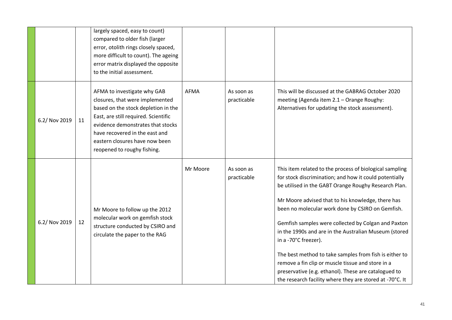|               |    | largely spaced, easy to count)<br>compared to older fish (larger<br>error, otolith rings closely spaced,<br>more difficult to count). The ageing<br>error matrix displayed the opposite<br>to the initial assessment.                                                                 |          |                           |                                                                                                                                                                                                                                                                                                                                                                                                                                                                                                                                                                                                                                                               |
|---------------|----|---------------------------------------------------------------------------------------------------------------------------------------------------------------------------------------------------------------------------------------------------------------------------------------|----------|---------------------------|---------------------------------------------------------------------------------------------------------------------------------------------------------------------------------------------------------------------------------------------------------------------------------------------------------------------------------------------------------------------------------------------------------------------------------------------------------------------------------------------------------------------------------------------------------------------------------------------------------------------------------------------------------------|
| 6.2/ Nov 2019 | 11 | AFMA to investigate why GAB<br>closures, that were implemented<br>based on the stock depletion in the<br>East, are still required. Scientific<br>evidence demonstrates that stocks<br>have recovered in the east and<br>eastern closures have now been<br>reopened to roughy fishing. | AFMA     | As soon as<br>practicable | This will be discussed at the GABRAG October 2020<br>meeting (Agenda item 2.1 - Orange Roughy:<br>Alternatives for updating the stock assessment).                                                                                                                                                                                                                                                                                                                                                                                                                                                                                                            |
| 6.2/ Nov 2019 | 12 | Mr Moore to follow up the 2012<br>molecular work on gemfish stock<br>structure conducted by CSIRO and<br>circulate the paper to the RAG                                                                                                                                               | Mr Moore | As soon as<br>practicable | This item related to the process of biological sampling<br>for stock discrimination; and how it could potentially<br>be utilised in the GABT Orange Roughy Research Plan.<br>Mr Moore advised that to his knowledge, there has<br>been no molecular work done by CSIRO on Gemfish.<br>Gemfish samples were collected by Colgan and Paxton<br>in the 1990s and are in the Australian Museum (stored<br>in a -70°C freezer).<br>The best method to take samples from fish is either to<br>remove a fin clip or muscle tissue and store in a<br>preservative (e.g. ethanol). These are catalogued to<br>the research facility where they are stored at -70°C. It |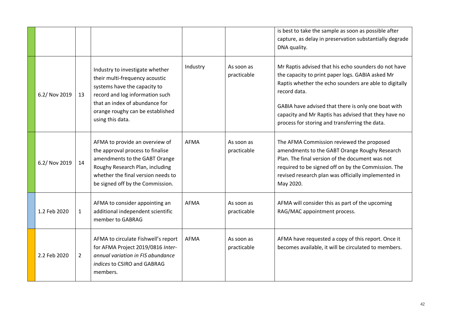|               |                |                                                                                                                                                                                                                                |             |                           | is best to take the sample as soon as possible after<br>capture, as delay in preservation substantially degrade<br>DNA quality.                                                                                                                                                                                                                     |
|---------------|----------------|--------------------------------------------------------------------------------------------------------------------------------------------------------------------------------------------------------------------------------|-------------|---------------------------|-----------------------------------------------------------------------------------------------------------------------------------------------------------------------------------------------------------------------------------------------------------------------------------------------------------------------------------------------------|
| 6.2/ Nov 2019 | 13             | Industry to investigate whether<br>their multi-frequency acoustic<br>systems have the capacity to<br>record and log information such<br>that an index of abundance for<br>orange roughy can be established<br>using this data. | Industry    | As soon as<br>practicable | Mr Raptis advised that his echo sounders do not have<br>the capacity to print paper logs. GABIA asked Mr<br>Raptis whether the echo sounders are able to digitally<br>record data.<br>GABIA have advised that there is only one boat with<br>capacity and Mr Raptis has advised that they have no<br>process for storing and transferring the data. |
| 6.2/ Nov 2019 | 14             | AFMA to provide an overview of<br>the approval process to finalise<br>amendments to the GABT Orange<br>Roughy Research Plan, including<br>whether the final version needs to<br>be signed off by the Commission.               | <b>AFMA</b> | As soon as<br>practicable | The AFMA Commission reviewed the proposed<br>amendments to the GABT Orange Roughy Research<br>Plan. The final version of the document was not<br>required to be signed off on by the Commission. The<br>revised research plan was officially implemented in<br>May 2020.                                                                            |
| 1.2 Feb 2020  | $\mathbf{1}$   | AFMA to consider appointing an<br>additional independent scientific<br>member to GABRAG                                                                                                                                        | AFMA        | As soon as<br>practicable | AFMA will consider this as part of the upcoming<br>RAG/MAC appointment process.                                                                                                                                                                                                                                                                     |
| 2.2 Feb 2020  | $\overline{2}$ | AFMA to circulate Fishwell's report<br>for AFMA Project 2019/0816 Inter-<br>annual variation in FIS abundance<br>indices to CSIRO and GABRAG<br>members.                                                                       | <b>AFMA</b> | As soon as<br>practicable | AFMA have requested a copy of this report. Once it<br>becomes available, it will be circulated to members.                                                                                                                                                                                                                                          |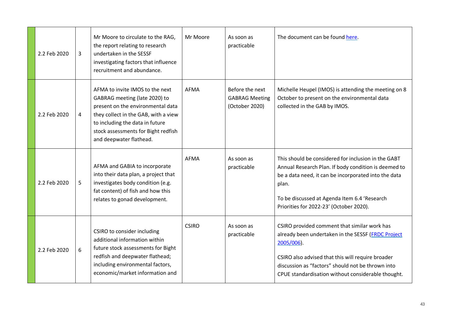| 2.2 Feb 2020 | 3 | Mr Moore to circulate to the RAG,<br>the report relating to research<br>undertaken in the SESSF<br>investigating factors that influence<br>recruitment and abundance.                                                                              | Mr Moore     | As soon as<br>practicable                                  | The document can be found here.                                                                                                                                                                                                                                                     |
|--------------|---|----------------------------------------------------------------------------------------------------------------------------------------------------------------------------------------------------------------------------------------------------|--------------|------------------------------------------------------------|-------------------------------------------------------------------------------------------------------------------------------------------------------------------------------------------------------------------------------------------------------------------------------------|
| 2.2 Feb 2020 | 4 | AFMA to invite IMOS to the next<br>GABRAG meeting (late 2020) to<br>present on the environmental data<br>they collect in the GAB, with a view<br>to including the data in future<br>stock assessments for Bight redfish<br>and deepwater flathead. | <b>AFMA</b>  | Before the next<br><b>GABRAG Meeting</b><br>(October 2020) | Michelle Heupel (IMOS) is attending the meeting on 8<br>October to present on the environmental data<br>collected in the GAB by IMOS.                                                                                                                                               |
| 2.2 Feb 2020 | 5 | AFMA and GABIA to incorporate<br>into their data plan, a project that<br>investigates body condition (e.g.<br>fat content) of fish and how this<br>relates to gonad development.                                                                   | <b>AFMA</b>  | As soon as<br>practicable                                  | This should be considered for inclusion in the GABT<br>Annual Research Plan. If body condition is deemed to<br>be a data need, it can be incorporated into the data<br>plan.<br>To be discussed at Agenda Item 6.4 'Research<br>Priorities for 2022-23' (October 2020).             |
| 2.2 Feb 2020 | 6 | CSIRO to consider including<br>additional information within<br>future stock assessments for Bight<br>redfish and deepwater flathead;<br>including environmental factors,<br>economic/market information and                                       | <b>CSIRO</b> | As soon as<br>practicable                                  | CSIRO provided comment that similar work has<br>already been undertaken in the SESSF (FRDC Project<br>$2005/006$ ).<br>CSIRO also advised that this will require broader<br>discussion as "factors" should not be thrown into<br>CPUE standardisation without considerable thought. |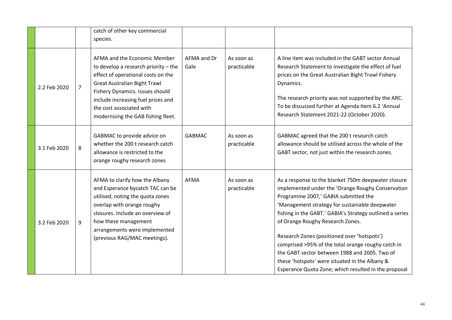|              |                | catch of other key commercial<br>species.                                                                                                                                                                                                                                                    |                     |                           |                                                                                                                                                                                                                                                                                                                                                                                                                                                                                                                                                                    |
|--------------|----------------|----------------------------------------------------------------------------------------------------------------------------------------------------------------------------------------------------------------------------------------------------------------------------------------------|---------------------|---------------------------|--------------------------------------------------------------------------------------------------------------------------------------------------------------------------------------------------------------------------------------------------------------------------------------------------------------------------------------------------------------------------------------------------------------------------------------------------------------------------------------------------------------------------------------------------------------------|
| 2.2 Feb 2020 | $\overline{7}$ | AFMA and the Economic Member<br>to develop a research priority - the<br>effect of operational costs on the<br><b>Great Australian Bight Trawl</b><br>Fishery Dynamics. Issues should<br>include increasing fuel prices and<br>the cost associated with<br>modernising the GAB fishing fleet. | AFMA and Dr<br>Gale | As soon as<br>practicable | A line item was included in the GABT sector Annual<br>Research Statement to investigate the effect of fuel<br>prices on the Great Australian Bight Trawl Fishery<br>Dynamics.<br>The research priority was not supported by the ARC.<br>To be discussed further at Agenda Item 6.2 'Annual<br>Research Statement 2021-22 (October 2020).                                                                                                                                                                                                                           |
| 3.1 Feb 2020 | 8              | GABMAC to provide advice on<br>whether the 200 t research catch<br>allowance is restricted to the<br>orange roughy research zones                                                                                                                                                            | <b>GABMAC</b>       | As soon as<br>practicable | GABMAC agreed that the 200 t research catch<br>allowance should be utilised across the whole of the<br>GABT sector, not just within the research zones.                                                                                                                                                                                                                                                                                                                                                                                                            |
| 3.2 Feb 2020 | 9              | AFMA to clarify how the Albany<br>and Esperance bycatch TAC can be<br>utilised; noting the quota zones<br>overlap with orange roughy<br>closures. Include an overview of<br>how these management<br>arrangements were implemented<br>(previous RAG/MAC meetings).                            | <b>AFMA</b>         | As soon as<br>practicable | As a response to the blanket 750m deepwater closure<br>implemented under the 'Orange Roughy Conservation<br>Programme 2007,' GABIA submitted the<br>'Management strategy for sustainable deepwater<br>fishing in the GABT.' GABIA's Strategy outlined a series<br>of Orange Roughy Research Zones.<br>Research Zones (positioned over 'hotspots')<br>comprised >95% of the total orange roughy catch in<br>the GABT sector between 1988 and 2005. Two of<br>these 'hotspots' were situated in the Albany &<br>Esperance Quota Zone; which resulted in the proposal |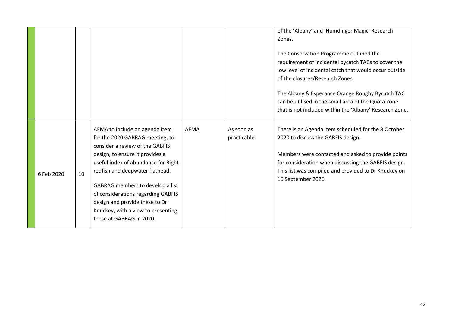|            |    |                                                                                                                                                                                                                                                                                                                                                                                                 |      |                           | of the 'Albany' and 'Humdinger Magic' Research<br>Zones.<br>The Conservation Programme outlined the<br>requirement of incidental bycatch TACs to cover the<br>low level of incidental catch that would occur outside<br>of the closures/Research Zones.<br>The Albany & Esperance Orange Roughy Bycatch TAC<br>can be utilised in the small area of the Quota Zone<br>that is not included within the 'Albany' Research Zone. |
|------------|----|-------------------------------------------------------------------------------------------------------------------------------------------------------------------------------------------------------------------------------------------------------------------------------------------------------------------------------------------------------------------------------------------------|------|---------------------------|-------------------------------------------------------------------------------------------------------------------------------------------------------------------------------------------------------------------------------------------------------------------------------------------------------------------------------------------------------------------------------------------------------------------------------|
| 6 Feb 2020 | 10 | AFMA to include an agenda item<br>for the 2020 GABRAG meeting, to<br>consider a review of the GABFIS<br>design, to ensure it provides a<br>useful index of abundance for Bight<br>redfish and deepwater flathead.<br>GABRAG members to develop a list<br>of considerations regarding GABFIS<br>design and provide these to Dr<br>Knuckey, with a view to presenting<br>these at GABRAG in 2020. | AFMA | As soon as<br>practicable | There is an Agenda Item scheduled for the 8 October<br>2020 to discuss the GABFIS design.<br>Members were contacted and asked to provide points<br>for consideration when discussing the GABFIS design.<br>This list was compiled and provided to Dr Knuckey on<br>16 September 2020.                                                                                                                                         |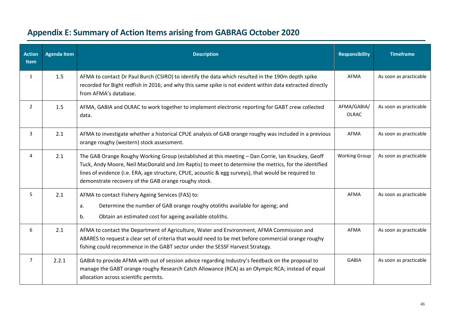<span id="page-45-0"></span>

| <b>Action</b><br><b>Item</b> | <b>Agenda Item</b> | <b>Description</b>                                                                                                                                                                                                                                                                                                                                                         | <b>Responsibility</b>       | <b>Timeframe</b>       |
|------------------------------|--------------------|----------------------------------------------------------------------------------------------------------------------------------------------------------------------------------------------------------------------------------------------------------------------------------------------------------------------------------------------------------------------------|-----------------------------|------------------------|
| $\mathbf{1}$                 | 1.5                | AFMA to contact Dr Paul Burch (CSIRO) to identify the data which resulted in the 190m depth spike<br>recorded for Bight redfish in 2016; and why this same spike is not evident within data extracted directly<br>from AFMA's database.                                                                                                                                    | <b>AFMA</b>                 | As soon as practicable |
| $\overline{2}$               | 1.5                | AFMA, GABIA and OLRAC to work together to implement electronic reporting for GABT crew collected<br>data.                                                                                                                                                                                                                                                                  | AFMA/GABIA/<br><b>OLRAC</b> | As soon as practicable |
| 3                            | 2.1                | AFMA to investigate whether a historical CPUE analysis of GAB orange roughy was included in a previous<br>orange roughy (western) stock assessment.                                                                                                                                                                                                                        | AFMA                        | As soon as practicable |
| Δ                            | 2.1                | The GAB Orange Roughy Working Group (established at this meeting - Dan Corrie, Ian Knuckey, Geoff<br>Tuck, Andy Moore, Neil MacDonald and Jim Raptis) to meet to determine the metrics, for the identified<br>lines of evidence (i.e. ERA, age structure, CPUE, acoustic & egg surveys), that would be required to<br>demonstrate recovery of the GAB orange roughy stock. | <b>Working Group</b>        | As soon as practicable |
| 5                            | 2.1                | AFMA to contact Fishery Ageing Services (FAS) to:<br>Determine the number of GAB orange roughy otoliths available for ageing; and<br>a.<br>Obtain an estimated cost for ageing available otoliths.<br>b.                                                                                                                                                                   | <b>AFMA</b>                 | As soon as practicable |
| 6                            | 2.1                | AFMA to contact the Department of Agriculture, Water and Environment, AFMA Commission and<br>ABARES to request a clear set of criteria that would need to be met before commercial orange roughy<br>fishing could recommence in the GABT sector under the SESSF Harvest Strategy.                                                                                          | AFMA                        | As soon as practicable |
| $\overline{7}$               | 2.2.1              | GABIA to provide AFMA with out of session advice regarding Industry's feedback on the proposal to<br>manage the GABT orange roughy Research Catch Allowance (RCA) as an Olympic RCA; instead of equal<br>allocation across scientific permits.                                                                                                                             | <b>GABIA</b>                | As soon as practicable |

## **Appendix E: Summary of Action Items arising from GABRAG October 2020**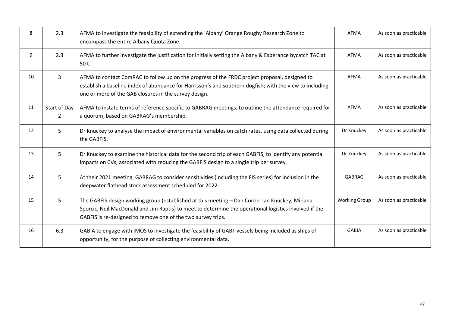| 8  | 2.3                            | AFMA to investigate the feasibility of extending the 'Albany' Orange Roughy Research Zone to<br>encompass the entire Albany Quota Zone.                                                                                                                                   | AFMA                 | As soon as practicable |
|----|--------------------------------|---------------------------------------------------------------------------------------------------------------------------------------------------------------------------------------------------------------------------------------------------------------------------|----------------------|------------------------|
| 9  | 2.3                            | AFMA to further investigate the justification for initially setting the Albany & Esperance bycatch TAC at<br>50 t.                                                                                                                                                        | <b>AFMA</b>          | As soon as practicable |
| 10 | 3                              | AFMA to contact ComRAC to follow up on the progress of the FRDC project proposal, designed to<br>establish a baseline index of abundance for Harrisson's and southern dogfish; with the view to including<br>one or more of the GAB closures in the survey design.        |                      | As soon as practicable |
| 11 | Start of Day<br>$\overline{2}$ | AFMA to instate terms of reference specific to GABRAG meetings; to outline the attendance required for<br>a quorum; based on GABRAG's membership.                                                                                                                         | AFMA                 | As soon as practicable |
| 12 | 5                              | Dr Knuckey to analyse the impact of environmental variables on catch rates, using data collected during<br>the GABFIS.                                                                                                                                                    | Dr Knuckey           | As soon as practicable |
| 13 | 5                              | Dr Knuckey to examine the historical data for the second trip of each GABFIS, to identify any potential<br>impacts on CVs, associated with reducing the GABFIS design to a single trip per survey.                                                                        | Dr Knuckey           | As soon as practicable |
| 14 | 5                              | At their 2021 meeting, GABRAG to consider sensitivities (including the FIS series) for inclusion in the<br>deepwater flathead stock assessment scheduled for 2022.                                                                                                        | <b>GABRAG</b>        | As soon as practicable |
| 15 | 5                              | The GABFIS design working group (established at this meeting - Dan Corrie, Ian Knuckey, Miriana<br>Sporcic, Neil MacDonald and Jim Raptis) to meet to determine the operational logistics involved if the<br>GABFIS is re-designed to remove one of the two survey trips. | <b>Working Group</b> | As soon as practicable |
| 16 | 6.3                            | GABIA to engage with IMOS to investigate the feasibility of GABT vessels being included as ships of<br>opportunity, for the purpose of collecting environmental data.                                                                                                     | <b>GABIA</b>         | As soon as practicable |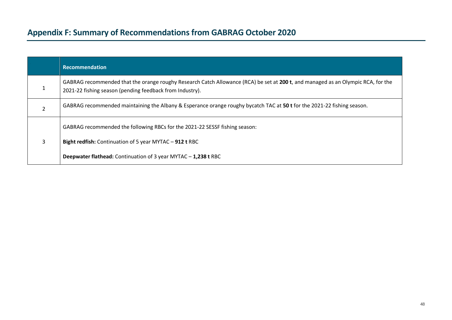# **Appendix F: Summary of Recommendationsfrom GABRAG October 2020**

<span id="page-47-0"></span>

|                | <b>Recommendation</b>                                                                                                                                                                                    |
|----------------|----------------------------------------------------------------------------------------------------------------------------------------------------------------------------------------------------------|
|                | GABRAG recommended that the orange roughy Research Catch Allowance (RCA) be set at 200 t, and managed as an Olympic RCA, for the<br>2021-22 fishing season (pending feedback from Industry).             |
| $\overline{2}$ | GABRAG recommended maintaining the Albany & Esperance orange roughy bycatch TAC at 50 t for the 2021-22 fishing season.                                                                                  |
| 3              | GABRAG recommended the following RBCs for the 2021-22 SESSF fishing season:<br>Bight redfish: Continuation of 5 year MYTAC - 912 t RBC<br>Deepwater flathead: Continuation of 3 year MYTAC - 1,238 t RBC |